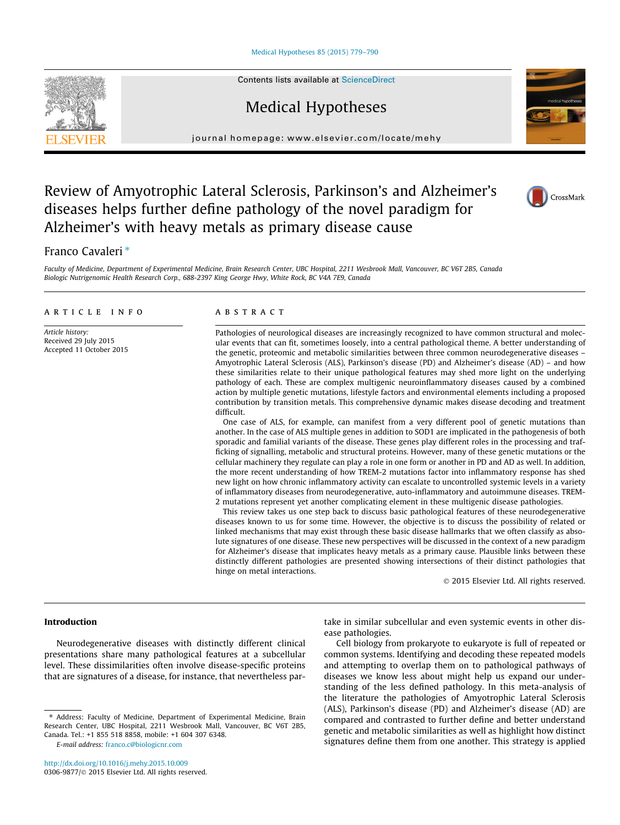[Medical Hypotheses 85 \(2015\) 779–790](http://dx.doi.org/10.1016/j.mehy.2015.10.009)

# Medical Hypotheses

journal homepage: [www.elsevier.com/locate/mehy](http://www.elsevier.com/locate/mehy)

## Review of Amyotrophic Lateral Sclerosis, Parkinson's and Alzheimer's diseases helps further define pathology of the novel paradigm for Alzheimer's with heavy metals as primary disease cause

### Franco Cavaleri<sup>\*</sup>

Faculty of Medicine, Department of Experimental Medicine, Brain Research Center, UBC Hospital, 2211 Wesbrook Mall, Vancouver, BC V6T 2B5, Canada Biologic Nutrigenomic Health Research Corp., 688-2397 King George Hwy, White Rock, BC V4A 7E9, Canada

#### article info

Article history: Received 29 July 2015 Accepted 11 October 2015

#### **ABSTRACT**

Pathologies of neurological diseases are increasingly recognized to have common structural and molecular events that can fit, sometimes loosely, into a central pathological theme. A better understanding of the genetic, proteomic and metabolic similarities between three common neurodegenerative diseases – Amyotrophic Lateral Sclerosis (ALS), Parkinson's disease (PD) and Alzheimer's disease (AD) – and how these similarities relate to their unique pathological features may shed more light on the underlying pathology of each. These are complex multigenic neuroinflammatory diseases caused by a combined action by multiple genetic mutations, lifestyle factors and environmental elements including a proposed contribution by transition metals. This comprehensive dynamic makes disease decoding and treatment difficult.

One case of ALS, for example, can manifest from a very different pool of genetic mutations than another. In the case of ALS multiple genes in addition to SOD1 are implicated in the pathogenesis of both sporadic and familial variants of the disease. These genes play different roles in the processing and trafficking of signalling, metabolic and structural proteins. However, many of these genetic mutations or the cellular machinery they regulate can play a role in one form or another in PD and AD as well. In addition, the more recent understanding of how TREM-2 mutations factor into inflammatory response has shed new light on how chronic inflammatory activity can escalate to uncontrolled systemic levels in a variety of inflammatory diseases from neurodegenerative, auto-inflammatory and autoimmune diseases. TREM-2 mutations represent yet another complicating element in these multigenic disease pathologies.

This review takes us one step back to discuss basic pathological features of these neurodegenerative diseases known to us for some time. However, the objective is to discuss the possibility of related or linked mechanisms that may exist through these basic disease hallmarks that we often classify as absolute signatures of one disease. These new perspectives will be discussed in the context of a new paradigm for Alzheimer's disease that implicates heavy metals as a primary cause. Plausible links between these distinctly different pathologies are presented showing intersections of their distinct pathologies that hinge on metal interactions.

2015 Elsevier Ltd. All rights reserved.

#### Introduction

Neurodegenerative diseases with distinctly different clinical presentations share many pathological features at a subcellular level. These dissimilarities often involve disease-specific proteins that are signatures of a disease, for instance, that nevertheless par-

E-mail address: [franco.c@biologicnr.com](mailto:franco.c@biologicnr.com)

take in similar subcellular and even systemic events in other disease pathologies.

Cell biology from prokaryote to eukaryote is full of repeated or common systems. Identifying and decoding these repeated models and attempting to overlap them on to pathological pathways of diseases we know less about might help us expand our understanding of the less defined pathology. In this meta-analysis of the literature the pathologies of Amyotrophic Lateral Sclerosis (ALS), Parkinson's disease (PD) and Alzheimer's disease (AD) are compared and contrasted to further define and better understand genetic and metabolic similarities as well as highlight how distinct signatures define them from one another. This strategy is applied







<sup>⇑</sup> Address: Faculty of Medicine, Department of Experimental Medicine, Brain Research Center, UBC Hospital, 2211 Wesbrook Mall, Vancouver, BC V6T 2B5, Canada. Tel.: +1 855 518 8858, mobile: +1 604 307 6348.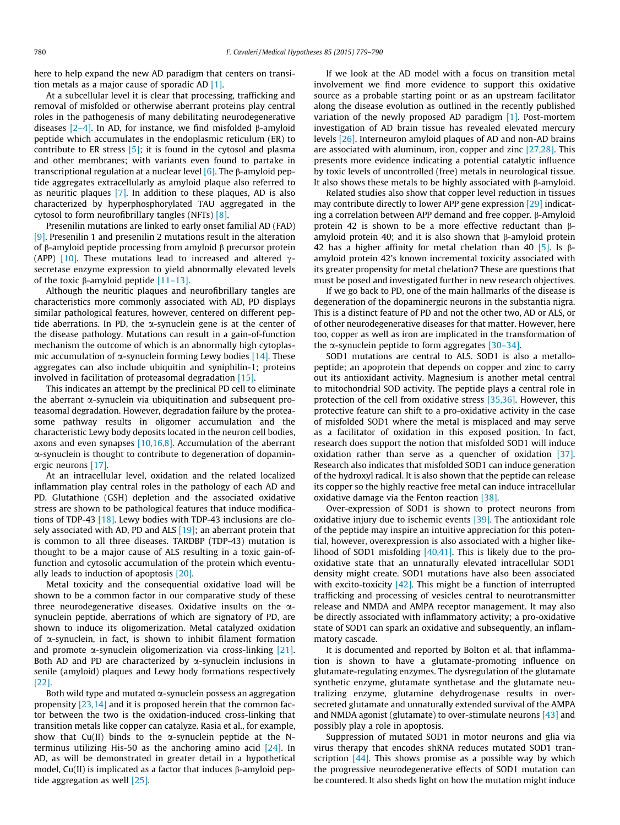here to help expand the new AD paradigm that centers on transition metals as a major cause of sporadic AD [\[1\].](#page-8-0)

At a subcellular level it is clear that processing, trafficking and removal of misfolded or otherwise aberrant proteins play central roles in the pathogenesis of many debilitating neurodegenerative diseases  $[2-4]$ . In AD, for instance, we find misfolded  $\beta$ -amyloid peptide which accumulates in the endoplasmic reticulum (ER) to contribute to ER stress  $[5]$ ; it is found in the cytosol and plasma and other membranes; with variants even found to partake in transcriptional regulation at a nuclear level  $[6]$ . The  $\beta$ -amyloid peptide aggregates extracellularly as amyloid plaque also referred to as neuritic plaques [\[7\]](#page-8-0). In addition to these plaques, AD is also characterized by hyperphosphorylated TAU aggregated in the cytosol to form neurofibrillary tangles (NFTs) [\[8\]](#page-8-0).

Presenilin mutations are linked to early onset familial AD (FAD) [\[9\]](#page-8-0). Presenilin 1 and presenilin 2 mutations result in the alteration of  $\beta$ -amyloid peptide processing from amyloid  $\beta$  precursor protein (APP) [\[10\].](#page-8-0) These mutations lead to increased and altered  $\gamma$ secretase enzyme expression to yield abnormally elevated levels of the toxic  $\beta$ -amyloid peptide [\[11–13\]](#page-8-0).

Although the neuritic plaques and neurofibrillary tangles are characteristics more commonly associated with AD, PD displays similar pathological features, however, centered on different peptide aberrations. In PD, the  $\alpha$ -synuclein gene is at the center of the disease pathology. Mutations can result in a gain-of-function mechanism the outcome of which is an abnormally high cytoplasmic accumulation of  $\alpha$ -synuclein forming Lewy bodies [\[14\].](#page-8-0) These aggregates can also include ubiquitin and syniphilin-1; proteins involved in facilitation of proteasomal degradation [\[15\]](#page-8-0).

This indicates an attempt by the preclinical PD cell to eliminate the aberrant  $\alpha$ -synuclein via ubiquitination and subsequent proteasomal degradation. However, degradation failure by the proteasome pathway results in oligomer accumulation and the characteristic Lewy body deposits located in the neuron cell bodies, axons and even synapses  $[10,16,8]$ . Accumulation of the aberrant a-synuclein is thought to contribute to degeneration of dopaminergic neurons [\[17\].](#page-9-0)

At an intracellular level, oxidation and the related localized inflammation play central roles in the pathology of each AD and PD. Glutathione (GSH) depletion and the associated oxidative stress are shown to be pathological features that induce modifications of TDP-43 [\[18\].](#page-9-0) Lewy bodies with TDP-43 inclusions are closely associated with AD, PD and ALS  $[19]$ ; an aberrant protein that is common to all three diseases. TARDBP (TDP-43) mutation is thought to be a major cause of ALS resulting in a toxic gain-offunction and cytosolic accumulation of the protein which eventually leads to induction of apoptosis [\[20\]](#page-9-0).

Metal toxicity and the consequential oxidative load will be shown to be a common factor in our comparative study of these three neurodegenerative diseases. Oxidative insults on the  $\alpha$ synuclein peptide, aberrations of which are signatory of PD, are shown to induce its oligomerization. Metal catalyzed oxidation of a-synuclein, in fact, is shown to inhibit filament formation and promote  $\alpha$ -synuclein oligomerization via cross-linking [\[21\].](#page-9-0) Both AD and PD are characterized by  $\alpha$ -synuclein inclusions in senile (amyloid) plaques and Lewy body formations respectively [\[22\]](#page-9-0).

Both wild type and mutated  $\alpha$ -synuclein possess an aggregation propensity [\[23,14\]](#page-9-0) and it is proposed herein that the common factor between the two is the oxidation-induced cross-linking that transition metals like copper can catalyze. Rasia et al., for example, show that Cu(II) binds to the  $\alpha$ -synuclein peptide at the Nterminus utilizing His-50 as the anchoring amino acid [\[24\]](#page-9-0). In AD, as will be demonstrated in greater detail in a hypothetical model, Cu(II) is implicated as a factor that induces  $\beta$ -amyloid peptide aggregation as well [\[25\].](#page-9-0)

If we look at the AD model with a focus on transition metal involvement we find more evidence to support this oxidative source as a probable starting point or as an upstream facilitator along the disease evolution as outlined in the recently published variation of the newly proposed AD paradigm  $[1]$ . Post-mortem investigation of AD brain tissue has revealed elevated mercury levels [\[26\]](#page-9-0). Interneuron amyloid plaques of AD and non-AD brains are associated with aluminum, iron, copper and zinc  $[27,28]$ . This presents more evidence indicating a potential catalytic influence by toxic levels of uncontrolled (free) metals in neurological tissue. It also shows these metals to be highly associated with  $\beta$ -amyloid.

Related studies also show that copper level reduction in tissues may contribute directly to lower APP gene expression [\[29\]](#page-9-0) indicating a correlation between APP demand and free copper.  $\beta$ -Amyloid protein 42 is shown to be a more effective reductant than  $\beta$ amyloid protein 40; and it is also shown that  $\beta$ -amyloid protein 42 has a higher affinity for metal chelation than 40  $[5]$ . Is  $\beta$ amyloid protein 42's known incremental toxicity associated with its greater propensity for metal chelation? These are questions that must be posed and investigated further in new research objectives.

If we go back to PD, one of the main hallmarks of the disease is degeneration of the dopaminergic neurons in the substantia nigra. This is a distinct feature of PD and not the other two, AD or ALS, or of other neurodegenerative diseases for that matter. However, here too, copper as well as iron are implicated in the transformation of the  $\alpha$ -synuclein peptide to form aggregates [\[30–34\]](#page-9-0).

SOD1 mutations are central to ALS. SOD1 is also a metallopeptide; an apoprotein that depends on copper and zinc to carry out its antioxidant activity. Magnesium is another metal central to mitochondrial SOD activity. The peptide plays a central role in protection of the cell from oxidative stress [\[35,36\]](#page-9-0). However, this protective feature can shift to a pro-oxidative activity in the case of misfolded SOD1 where the metal is misplaced and may serve as a facilitator of oxidation in this exposed position. In fact, research does support the notion that misfolded SOD1 will induce oxidation rather than serve as a quencher of oxidation [\[37\].](#page-9-0) Research also indicates that misfolded SOD1 can induce generation of the hydroxyl radical. It is also shown that the peptide can release its copper so the highly reactive free metal can induce intracellular oxidative damage via the Fenton reaction [\[38\].](#page-9-0)

Over-expression of SOD1 is shown to protect neurons from oxidative injury due to ischemic events [\[39\].](#page-9-0) The antioxidant role of the peptide may inspire an intuitive appreciation for this potential, however, overexpression is also associated with a higher likelihood of SOD1 misfolding  $[40,41]$ . This is likely due to the prooxidative state that an unnaturally elevated intracellular SOD1 density might create. SOD1 mutations have also been associated with excito-toxicity  $[42]$ . This might be a function of interrupted trafficking and processing of vesicles central to neurotransmitter release and NMDA and AMPA receptor management. It may also be directly associated with inflammatory activity; a pro-oxidative state of SOD1 can spark an oxidative and subsequently, an inflammatory cascade.

It is documented and reported by Bolton et al. that inflammation is shown to have a glutamate-promoting influence on glutamate-regulating enzymes. The dysregulation of the glutamate synthetic enzyme, glutamate synthetase and the glutamate neutralizing enzyme, glutamine dehydrogenase results in oversecreted glutamate and unnaturally extended survival of the AMPA and NMDA agonist (glutamate) to over-stimulate neurons [\[43\]](#page-9-0) and possibly play a role in apoptosis.

Suppression of mutated SOD1 in motor neurons and glia via virus therapy that encodes shRNA reduces mutated SOD1 transcription  $[44]$ . This shows promise as a possible way by which the progressive neurodegenerative effects of SOD1 mutation can be countered. It also sheds light on how the mutation might induce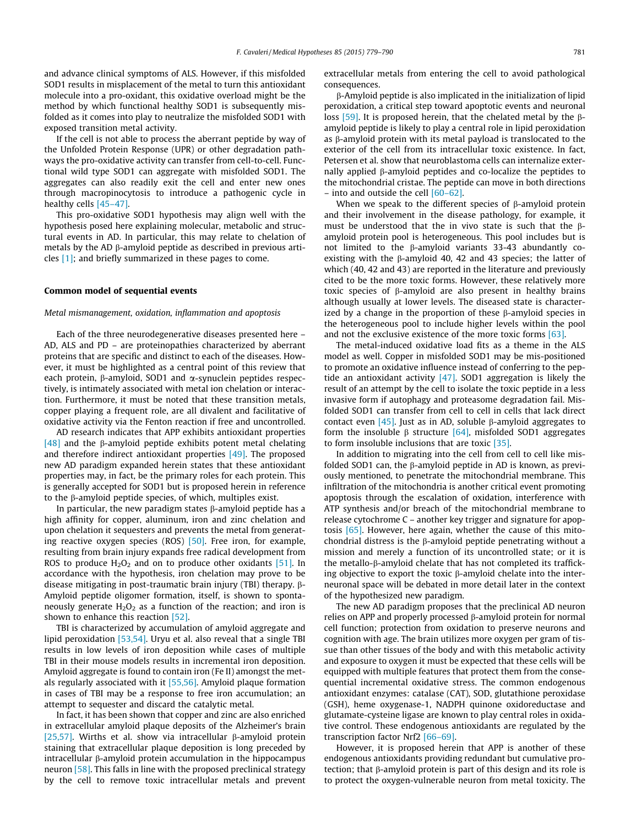and advance clinical symptoms of ALS. However, if this misfolded SOD1 results in misplacement of the metal to turn this antioxidant molecule into a pro-oxidant, this oxidative overload might be the method by which functional healthy SOD1 is subsequently misfolded as it comes into play to neutralize the misfolded SOD1 with exposed transition metal activity.

If the cell is not able to process the aberrant peptide by way of the Unfolded Protein Response (UPR) or other degradation pathways the pro-oxidative activity can transfer from cell-to-cell. Functional wild type SOD1 can aggregate with misfolded SOD1. The aggregates can also readily exit the cell and enter new ones through macropinocytosis to introduce a pathogenic cycle in healthy cells [\[45–47\].](#page-9-0)

This pro-oxidative SOD1 hypothesis may align well with the hypothesis posed here explaining molecular, metabolic and structural events in AD. In particular, this may relate to chelation of metals by the AD  $\beta$ -amyloid peptide as described in previous articles [\[1\]](#page-8-0); and briefly summarized in these pages to come.

#### Common model of sequential events

#### Metal mismanagement, oxidation, inflammation and apoptosis

Each of the three neurodegenerative diseases presented here – AD, ALS and PD – are proteinopathies characterized by aberrant proteins that are specific and distinct to each of the diseases. However, it must be highlighted as a central point of this review that each protein,  $\beta$ -amyloid, SOD1 and  $\alpha$ -synuclein peptides respectively, is intimately associated with metal ion chelation or interaction. Furthermore, it must be noted that these transition metals, copper playing a frequent role, are all divalent and facilitative of oxidative activity via the Fenton reaction if free and uncontrolled.

AD research indicates that APP exhibits antioxidant properties [\[48\]](#page-9-0) and the  $\beta$ -amyloid peptide exhibits potent metal chelating and therefore indirect antioxidant properties [\[49\].](#page-9-0) The proposed new AD paradigm expanded herein states that these antioxidant properties may, in fact, be the primary roles for each protein. This is generally accepted for SOD1 but is proposed herein in reference to the  $\beta$ -amyloid peptide species, of which, multiples exist.

In particular, the new paradigm states  $\beta$ -amyloid peptide has a high affinity for copper, aluminum, iron and zinc chelation and upon chelation it sequesters and prevents the metal from generating reactive oxygen species (ROS) [\[50\].](#page-9-0) Free iron, for example, resulting from brain injury expands free radical development from ROS to produce  $H_2O_2$  and on to produce other oxidants [\[51\].](#page-9-0) In accordance with the hypothesis, iron chelation may prove to be disease mitigating in post-traumatic brain injury (TBI) therapy. b-Amyloid peptide oligomer formation, itself, is shown to spontaneously generate  $H_2O_2$  as a function of the reaction; and iron is shown to enhance this reaction [\[52\]](#page-9-0).

TBI is characterized by accumulation of amyloid aggregate and lipid peroxidation [\[53,54\]](#page-9-0). Uryu et al. also reveal that a single TBI results in low levels of iron deposition while cases of multiple TBI in their mouse models results in incremental iron deposition. Amyloid aggregate is found to contain iron (Fe II) amongst the metals regularly associated with it [\[55,56\].](#page-9-0) Amyloid plaque formation in cases of TBI may be a response to free iron accumulation; an attempt to sequester and discard the catalytic metal.

In fact, it has been shown that copper and zinc are also enriched in extracellular amyloid plaque deposits of the Alzheimer's brain [\[25,57\]](#page-9-0). Wirths et al. show via intracellular  $\beta$ -amyloid protein staining that extracellular plaque deposition is long preceded by intracellular  $\beta$ -amyloid protein accumulation in the hippocampus neuron [\[58\].](#page-9-0) This falls in line with the proposed preclinical strategy by the cell to remove toxic intracellular metals and prevent extracellular metals from entering the cell to avoid pathological consequences.

b-Amyloid peptide is also implicated in the initialization of lipid peroxidation, a critical step toward apoptotic events and neuronal loss [\[59\]](#page-9-0). It is proposed herein, that the chelated metal by the  $\beta$ amyloid peptide is likely to play a central role in lipid peroxidation as  $\beta$ -amyloid protein with its metal payload is translocated to the exterior of the cell from its intracellular toxic existence. In fact, Petersen et al. show that neuroblastoma cells can internalize externally applied  $\beta$ -amyloid peptides and co-localize the peptides to the mitochondrial cristae. The peptide can move in both directions – into and outside the cell [\[60–62\]](#page-9-0).

When we speak to the different species of  $\beta$ -amyloid protein and their involvement in the disease pathology, for example, it must be understood that the in vivo state is such that the  $\beta$ amyloid protein pool is heterogeneous. This pool includes but is not limited to the  $\beta$ -amyloid variants 33-43 abundantly coexisting with the  $\beta$ -amyloid 40, 42 and 43 species; the latter of which (40, 42 and 43) are reported in the literature and previously cited to be the more toxic forms. However, these relatively more toxic species of b-amyloid are also present in healthy brains although usually at lower levels. The diseased state is characterized by a change in the proportion of these  $\beta$ -amyloid species in the heterogeneous pool to include higher levels within the pool and not the exclusive existence of the more toxic forms [\[63\]](#page-9-0).

The metal-induced oxidative load fits as a theme in the ALS model as well. Copper in misfolded SOD1 may be mis-positioned to promote an oxidative influence instead of conferring to the peptide an antioxidant activity  $[47]$ . SOD1 aggregation is likely the result of an attempt by the cell to isolate the toxic peptide in a less invasive form if autophagy and proteasome degradation fail. Misfolded SOD1 can transfer from cell to cell in cells that lack direct contact even  $[45]$ . Just as in AD, soluble  $\beta$ -amyloid aggregates to form the insoluble  $\beta$  structure [\[64\]](#page-9-0), misfolded SOD1 aggregates to form insoluble inclusions that are toxic [\[35\].](#page-9-0)

In addition to migrating into the cell from cell to cell like misfolded SOD1 can, the  $\beta$ -amyloid peptide in AD is known, as previously mentioned, to penetrate the mitochondrial membrane. This infiltration of the mitochondria is another critical event promoting apoptosis through the escalation of oxidation, interference with ATP synthesis and/or breach of the mitochondrial membrane to release cytochrome C – another key trigger and signature for apoptosis [\[65\].](#page-9-0) However, here again, whether the cause of this mitochondrial distress is the  $\beta$ -amyloid peptide penetrating without a mission and merely a function of its uncontrolled state; or it is the metallo- $\beta$ -amyloid chelate that has not completed its trafficking objective to export the toxic  $\beta$ -amyloid chelate into the interneuronal space will be debated in more detail later in the context of the hypothesized new paradigm.

The new AD paradigm proposes that the preclinical AD neuron relies on APP and properly processed  $\beta$ -amyloid protein for normal cell function; protection from oxidation to preserve neurons and cognition with age. The brain utilizes more oxygen per gram of tissue than other tissues of the body and with this metabolic activity and exposure to oxygen it must be expected that these cells will be equipped with multiple features that protect them from the consequential incremental oxidative stress. The common endogenous antioxidant enzymes: catalase (CAT), SOD, glutathione peroxidase (GSH), heme oxygenase-1, NADPH quinone oxidoreductase and glutamate-cysteine ligase are known to play central roles in oxidative control. These endogenous antioxidants are regulated by the transcription factor Nrf2 [\[66–69\].](#page-9-0)

However, it is proposed herein that APP is another of these endogenous antioxidants providing redundant but cumulative protection; that  $\beta$ -amyloid protein is part of this design and its role is to protect the oxygen-vulnerable neuron from metal toxicity. The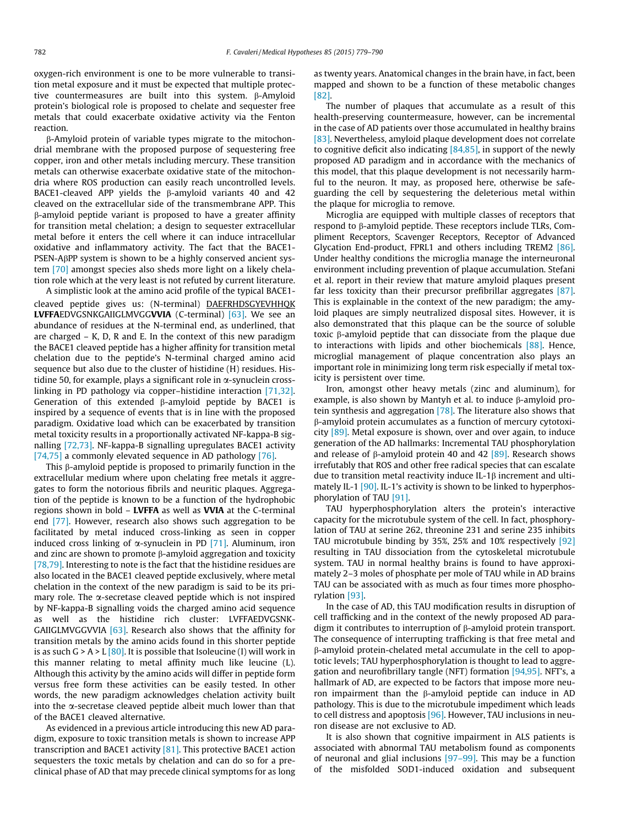oxygen-rich environment is one to be more vulnerable to transition metal exposure and it must be expected that multiple protective countermeasures are built into this system. b-Amyloid protein's biological role is proposed to chelate and sequester free metals that could exacerbate oxidative activity via the Fenton reaction.

b-Amyloid protein of variable types migrate to the mitochondrial membrane with the proposed purpose of sequestering free copper, iron and other metals including mercury. These transition metals can otherwise exacerbate oxidative state of the mitochondria where ROS production can easily reach uncontrolled levels. BACE1-cleaved APP yields the  $\beta$ -amyloid variants 40 and 42 cleaved on the extracellular side of the transmembrane APP. This b-amyloid peptide variant is proposed to have a greater affinity for transition metal chelation; a design to sequester extracellular metal before it enters the cell where it can induce intracellular oxidative and inflammatory activity. The fact that the BACE1- PSEN-A<sub>B</sub>PP system is shown to be a highly conserved ancient system [\[70\]](#page-9-0) amongst species also sheds more light on a likely chelation role which at the very least is not refuted by current literature.

A simplistic look at the amino acid profile of the typical BACE1 cleaved peptide gives us: (N-terminal) DAEFRHDSGYEVHHQK LVFFAEDVGSNKGAIIGLMVGGVVIA (C-terminal) [\[63\]](#page-9-0). We see an abundance of residues at the N-terminal end, as underlined, that are charged – K, D, R and E. In the context of this new paradigm the BACE1 cleaved peptide has a higher affinity for transition metal chelation due to the peptide's N-terminal charged amino acid sequence but also due to the cluster of histidine (H) residues. Histidine 50, for example, plays a significant role in  $\alpha$ -synuclein crosslinking in PD pathology via copper–histidine interaction [\[71,32\].](#page-9-0) Generation of this extended  $\beta$ -amyloid peptide by BACE1 is inspired by a sequence of events that is in line with the proposed paradigm. Oxidative load which can be exacerbated by transition metal toxicity results in a proportionally activated NF-kappa-B signalling [\[72,73\].](#page-9-0) NF-kappa-B signalling upregulates BACE1 activity [\[74,75\]](#page-9-0) a commonly elevated sequence in AD pathology [\[76\].](#page-9-0)

This  $\beta$ -amyloid peptide is proposed to primarily function in the extracellular medium where upon chelating free metals it aggregates to form the notorious fibrils and neuritic plaques. Aggregation of the peptide is known to be a function of the hydrophobic regions shown in bold – LVFFA as well as VVIA at the C-terminal end [\[77\]](#page-9-0). However, research also shows such aggregation to be facilitated by metal induced cross-linking as seen in copper induced cross linking of  $\alpha$ -synuclein in PD [\[71\].](#page-9-0) Aluminum, iron and zinc are shown to promote  $\beta$ -amyloid aggregation and toxicity [\[78,79\].](#page-9-0) Interesting to note is the fact that the histidine residues are also located in the BACE1 cleaved peptide exclusively, where metal chelation in the context of the new paradigm is said to be its primary role. The  $\alpha$ -secretase cleaved peptide which is not inspired by NF-kappa-B signalling voids the charged amino acid sequence as well as the histidine rich cluster: LVFFAEDVGSNK-GAIIGLMVGGVVIA [\[63\]](#page-9-0). Research also shows that the affinity for transition metals by the amino acids found in this shorter peptide is as such  $G > A > L [80]$  $G > A > L [80]$ . It is possible that Isoleucine (I) will work in this manner relating to metal affinity much like leucine (L). Although this activity by the amino acids will differ in peptide form versus free form these activities can be easily tested. In other words, the new paradigm acknowledges chelation activity built into the  $\alpha$ -secretase cleaved peptide albeit much lower than that of the BACE1 cleaved alternative.

As evidenced in a previous article introducing this new AD paradigm, exposure to toxic transition metals is shown to increase APP transcription and BACE1 activity [\[81\].](#page-10-0) This protective BACE1 action sequesters the toxic metals by chelation and can do so for a preclinical phase of AD that may precede clinical symptoms for as long as twenty years. Anatomical changes in the brain have, in fact, been mapped and shown to be a function of these metabolic changes [\[82\]](#page-10-0).

The number of plaques that accumulate as a result of this health-preserving countermeasure, however, can be incremental in the case of AD patients over those accumulated in healthy brains [\[83\]](#page-10-0). Nevertheless, amyloid plaque development does not correlate to cognitive deficit also indicating [\[84,85\]](#page-10-0), in support of the newly proposed AD paradigm and in accordance with the mechanics of this model, that this plaque development is not necessarily harmful to the neuron. It may, as proposed here, otherwise be safeguarding the cell by sequestering the deleterious metal within the plaque for microglia to remove.

Microglia are equipped with multiple classes of receptors that respond to  $\beta$ -amyloid peptide. These receptors include TLRs, Compliment Receptors, Scavenger Receptors, Receptor of Advanced Glycation End-product, FPRL1 and others including TREM2 [\[86\].](#page-10-0) Under healthy conditions the microglia manage the interneuronal environment including prevention of plaque accumulation. Stefani et al. report in their review that mature amyloid plaques present far less toxicity than their precursor prefibrillar aggregates [\[87\].](#page-10-0) This is explainable in the context of the new paradigm; the amyloid plaques are simply neutralized disposal sites. However, it is also demonstrated that this plaque can be the source of soluble toxic  $\beta$ -amyloid peptide that can dissociate from the plaque due to interactions with lipids and other biochemicals  $[88]$ . Hence, microglial management of plaque concentration also plays an important role in minimizing long term risk especially if metal toxicity is persistent over time.

Iron, amongst other heavy metals (zinc and aluminum), for example, is also shown by Mantyh et al. to induce  $\beta$ -amyloid protein synthesis and aggregation [\[78\]](#page-9-0). The literature also shows that b-amyloid protein accumulates as a function of mercury cytotoxicity [\[89\].](#page-10-0) Metal exposure is shown, over and over again, to induce generation of the AD hallmarks: Incremental TAU phosphorylation and release of  $\beta$ -amyloid protein 40 and 42 [\[89\].](#page-10-0) Research shows irrefutably that ROS and other free radical species that can escalate due to transition metal reactivity induce IL-1 $\beta$  increment and ulti-mately IL-1 [\[90\].](#page-10-0) IL-1's activity is shown to be linked to hyperphosphorylation of TAU [\[91\]](#page-10-0).

TAU hyperphosphorylation alters the protein's interactive capacity for the microtubule system of the cell. In fact, phosphorylation of TAU at serine 262, threonine 231 and serine 235 inhibits TAU microtubule binding by 35%, 25% and 10% respectively [\[92\]](#page-10-0) resulting in TAU dissociation from the cytoskeletal microtubule system. TAU in normal healthy brains is found to have approximately 2–3 moles of phosphate per mole of TAU while in AD brains TAU can be associated with as much as four times more phosphorylation [\[93\]](#page-10-0).

In the case of AD, this TAU modification results in disruption of cell trafficking and in the context of the newly proposed AD paradigm it contributes to interruption of  $\beta$ -amyloid protein transport. The consequence of interrupting trafficking is that free metal and b-amyloid protein-chelated metal accumulate in the cell to apoptotic levels; TAU hyperphosphorylation is thought to lead to aggregation and neurofibrillary tangle (NFT) formation [\[94,95\].](#page-10-0) NFT's, a hallmark of AD, are expected to be factors that impose more neuron impairment than the  $\beta$ -amyloid peptide can induce in AD pathology. This is due to the microtubule impediment which leads to cell distress and apoptosis [\[96\].](#page-10-0) However, TAU inclusions in neuron disease are not exclusive to AD.

It is also shown that cognitive impairment in ALS patients is associated with abnormal TAU metabolism found as components of neuronal and glial inclusions [\[97–99\]](#page-10-0). This may be a function of the misfolded SOD1-induced oxidation and subsequent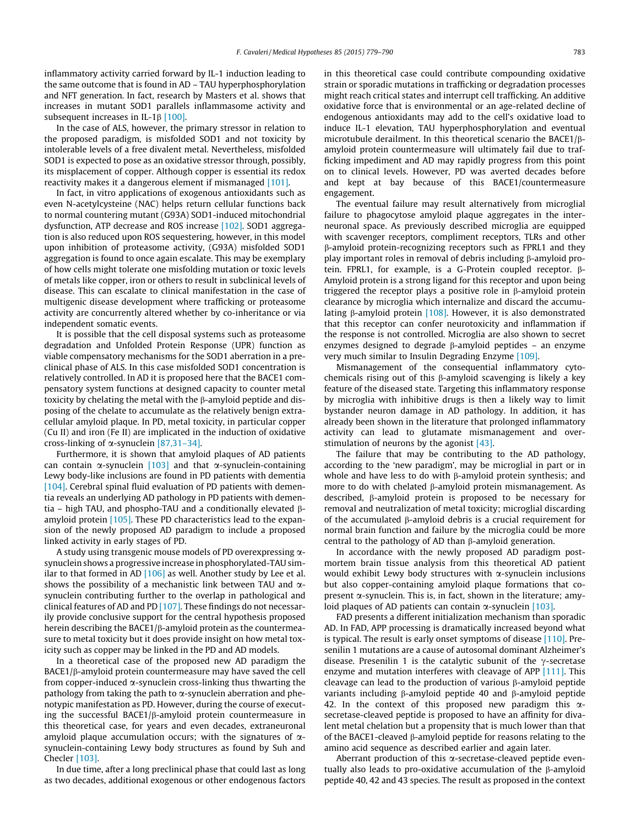inflammatory activity carried forward by IL-1 induction leading to the same outcome that is found in AD – TAU hyperphosphorylation and NFT generation. In fact, research by Masters et al. shows that increases in mutant SOD1 parallels inflammasome activity and subsequent increases in IL-1 $\beta$  [\[100\].](#page-10-0)

In the case of ALS, however, the primary stressor in relation to the proposed paradigm, is misfolded SOD1 and not toxicity by intolerable levels of a free divalent metal. Nevertheless, misfolded SOD1 is expected to pose as an oxidative stressor through, possibly, its misplacement of copper. Although copper is essential its redox reactivity makes it a dangerous element if mismanaged [\[101\]](#page-10-0).

In fact, in vitro applications of exogenous antioxidants such as even N-acetylcysteine (NAC) helps return cellular functions back to normal countering mutant (G93A) SOD1-induced mitochondrial dysfunction, ATP decrease and ROS increase [\[102\].](#page-10-0) SOD1 aggregation is also reduced upon ROS sequestering, however, in this model upon inhibition of proteasome activity, (G93A) misfolded SOD1 aggregation is found to once again escalate. This may be exemplary of how cells might tolerate one misfolding mutation or toxic levels of metals like copper, iron or others to result in subclinical levels of disease. This can escalate to clinical manifestation in the case of multigenic disease development where trafficking or proteasome activity are concurrently altered whether by co-inheritance or via independent somatic events.

It is possible that the cell disposal systems such as proteasome degradation and Unfolded Protein Response (UPR) function as viable compensatory mechanisms for the SOD1 aberration in a preclinical phase of ALS. In this case misfolded SOD1 concentration is relatively controlled. In AD it is proposed here that the BACE1 compensatory system functions at designed capacity to counter metal toxicity by chelating the metal with the b-amyloid peptide and disposing of the chelate to accumulate as the relatively benign extracellular amyloid plaque. In PD, metal toxicity, in particular copper (Cu II) and iron (Fe II) are implicated in the induction of oxidative cross-linking of  $\alpha$ -synuclein [87,31-34].

Furthermore, it is shown that amyloid plaques of AD patients can contain  $\alpha$ -synuclein [\[103\]](#page-10-0) and that  $\alpha$ -synuclein-containing Lewy body-like inclusions are found in PD patients with dementia [\[104\].](#page-10-0) Cerebral spinal fluid evaluation of PD patients with dementia reveals an underlying AD pathology in PD patients with dementia – high TAU, and phospho-TAU and a conditionally elevated  $\beta$ amyloid protein [\[105\].](#page-10-0) These PD characteristics lead to the expansion of the newly proposed AD paradigm to include a proposed linked activity in early stages of PD.

A study using transgenic mouse models of PD overexpressing  $\alpha$ synuclein shows a progressive increase in phosphorylated-TAU similar to that formed in AD  $[106]$  as well. Another study by Lee et al. shows the possibility of a mechanistic link between TAU and  $\alpha$ synuclein contributing further to the overlap in pathological and clinical features of AD and PD [\[107\]](#page-10-0). These findings do not necessarily provide conclusive support for the central hypothesis proposed herein describing the BACE1/ $\beta$ -amyloid protein as the countermeasure to metal toxicity but it does provide insight on how metal toxicity such as copper may be linked in the PD and AD models.

In a theoretical case of the proposed new AD paradigm the  $BACE1/\beta$ -amyloid protein countermeasure may have saved the cell from copper-induced  $\alpha$ -synuclein cross-linking thus thwarting the pathology from taking the path to  $\alpha$ -synuclein aberration and phenotypic manifestation as PD. However, during the course of executing the successful BACE1/ $\beta$ -amyloid protein countermeasure in this theoretical case, for years and even decades, extraneuronal amyloid plaque accumulation occurs; with the signatures of  $\alpha$ synuclein-containing Lewy body structures as found by Suh and Checler [\[103\]](#page-10-0).

In due time, after a long preclinical phase that could last as long as two decades, additional exogenous or other endogenous factors in this theoretical case could contribute compounding oxidative strain or sporadic mutations in trafficking or degradation processes might reach critical states and interrupt cell trafficking. An additive oxidative force that is environmental or an age-related decline of endogenous antioxidants may add to the cell's oxidative load to induce IL-1 elevation, TAU hyperphosphorylation and eventual microtubule derailment. In this theoretical scenario the BACE1/ $\beta$ amyloid protein countermeasure will ultimately fail due to trafficking impediment and AD may rapidly progress from this point on to clinical levels. However, PD was averted decades before and kept at bay because of this BACE1/countermeasure engagement.

The eventual failure may result alternatively from microglial failure to phagocytose amyloid plaque aggregates in the interneuronal space. As previously described microglia are equipped with scavenger receptors, compliment receptors, TLRs and other b-amyloid protein-recognizing receptors such as FPRL1 and they play important roles in removal of debris including  $\beta$ -amyloid protein. FPRL1, for example, is a G-Protein coupled receptor. β-Amyloid protein is a strong ligand for this receptor and upon being triggered the receptor plays a positive role in  $\beta$ -amyloid protein clearance by microglia which internalize and discard the accumulating  $\beta$ -amyloid protein [\[108\]](#page-10-0). However, it is also demonstrated that this receptor can confer neurotoxicity and inflammation if the response is not controlled. Microglia are also shown to secret enzymes designed to degrade  $\beta$ -amyloid peptides – an enzyme very much similar to Insulin Degrading Enzyme [\[109\].](#page-10-0)

Mismanagement of the consequential inflammatory cytochemicals rising out of this  $\beta$ -amyloid scavenging is likely a key feature of the diseased state. Targeting this inflammatory response by microglia with inhibitive drugs is then a likely way to limit bystander neuron damage in AD pathology. In addition, it has already been shown in the literature that prolonged inflammatory activity can lead to glutamate mismanagement and overstimulation of neurons by the agonist [\[43\]](#page-9-0).

The failure that may be contributing to the AD pathology, according to the 'new paradigm', may be microglial in part or in whole and have less to do with B-amyloid protein synthesis; and more to do with chelated  $\beta$ -amyloid protein mismanagement. As described, b-amyloid protein is proposed to be necessary for removal and neutralization of metal toxicity; microglial discarding of the accumulated  $\beta$ -amyloid debris is a crucial requirement for normal brain function and failure by the microglia could be more central to the pathology of AD than  $\beta$ -amyloid generation.

In accordance with the newly proposed AD paradigm postmortem brain tissue analysis from this theoretical AD patient would exhibit Lewy body structures with  $\alpha$ -synuclein inclusions but also copper-containing amyloid plaque formations that copresent  $\alpha$ -synuclein. This is, in fact, shown in the literature; amyloid plaques of AD patients can contain  $\alpha$ -synuclein [\[103\].](#page-10-0)

FAD presents a different initialization mechanism than sporadic AD. In FAD, APP processing is dramatically increased beyond what is typical. The result is early onset symptoms of disease [\[110\].](#page-10-0) Presenilin 1 mutations are a cause of autosomal dominant Alzheimer's disease. Presenilin 1 is the catalytic subunit of the  $\gamma$ -secretase enzyme and mutation interferes with cleavage of APP [\[111\].](#page-10-0) This cleavage can lead to the production of various  $\beta$ -amyloid peptide variants including  $\beta$ -amyloid peptide 40 and  $\beta$ -amyloid peptide 42. In the context of this proposed new paradigm this  $\alpha$ secretase-cleaved peptide is proposed to have an affinity for divalent metal chelation but a propensity that is much lower than that of the BACE1-cleaved  $\beta$ -amyloid peptide for reasons relating to the amino acid sequence as described earlier and again later.

Aberrant production of this  $\alpha$ -secretase-cleaved peptide eventually also leads to pro-oxidative accumulation of the  $\beta$ -amyloid peptide 40, 42 and 43 species. The result as proposed in the context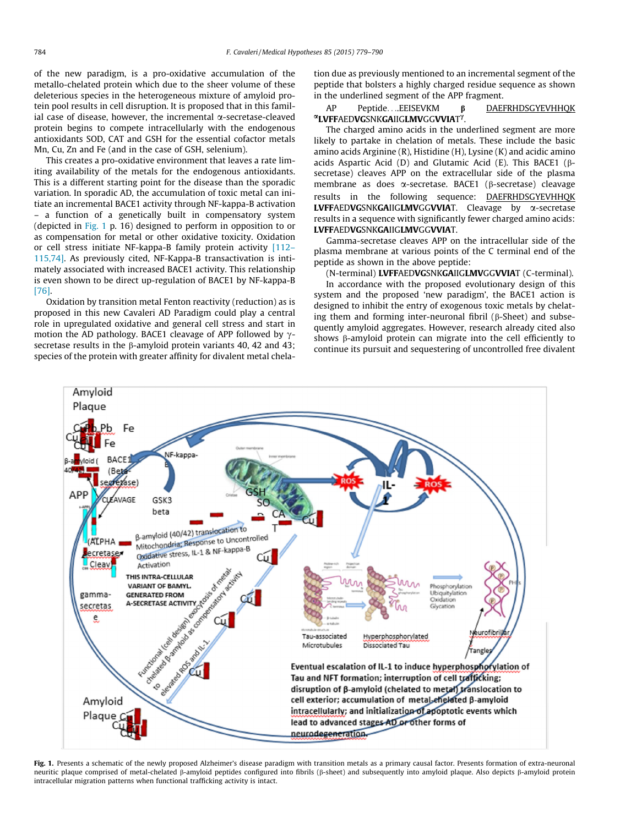<span id="page-5-0"></span>of the new paradigm, is a pro-oxidative accumulation of the metallo-chelated protein which due to the sheer volume of these deleterious species in the heterogeneous mixture of amyloid protein pool results in cell disruption. It is proposed that in this familial case of disease, however, the incremental  $\alpha$ -secretase-cleaved protein begins to compete intracellularly with the endogenous antioxidants SOD, CAT and GSH for the essential cofactor metals Mn, Cu, Zn and Fe (and in the case of GSH, selenium).

This creates a pro-oxidative environment that leaves a rate limiting availability of the metals for the endogenous antioxidants. This is a different starting point for the disease than the sporadic variation. In sporadic AD, the accumulation of toxic metal can initiate an incremental BACE1 activity through NF-kappa-B activation – a function of a genetically built in compensatory system (depicted in Fig. 1 p. 16) designed to perform in opposition to or as compensation for metal or other oxidative toxicity. Oxidation or cell stress initiate NF-kappa-B family protein activity [\[112–](#page-10-0) [115,74\]](#page-10-0). As previously cited, NF-Kappa-B transactivation is intimately associated with increased BACE1 activity. This relationship is even shown to be direct up-regulation of BACE1 by NF-kappa-B [\[76\]](#page-9-0).

Oxidation by transition metal Fenton reactivity (reduction) as is proposed in this new Cavaleri AD Paradigm could play a central role in upregulated oxidative and general cell stress and start in motion the AD pathology. BACE1 cleavage of APP followed by  $\gamma$ secretase results in the  $\beta$ -amyloid protein variants 40, 42 and 43; species of the protein with greater affinity for divalent metal chelation due as previously mentioned to an incremental segment of the peptide that bolsters a highly charged residue sequence as shown in the underlined segment of the APP fragment.

# AP Peptide. ...EEISEVKM β <u>DAEFRHDSGYEVHHQK</u><br>**¤LVFF**AED**VG**SNK**GA**IIG**LMV**GG**VVIA**T<sup>γ</sup>.

The charged amino acids in the underlined segment are more likely to partake in chelation of metals. These include the basic amino acids Arginine (R), Histidine (H), Lysine (K) and acidic amino acids Aspartic Acid (D) and Glutamic Acid (E). This BACE1 ( $\beta$ secretase) cleaves APP on the extracellular side of the plasma membrane as does a-secretase. BACE1 (b-secretase) cleavage results in the following sequence: DAEFRHDSGYEVHHQK LVFFAEDVGSNKGAIIGLMVGGVVIAT. Cleavage by α-secretase results in a sequence with significantly fewer charged amino acids: LVFFAEDVGSNKGAIIGLMVGGVVIAT.

Gamma-secretase cleaves APP on the intracellular side of the plasma membrane at various points of the C terminal end of the peptide as shown in the above peptide:

(N-terminal) LVFFAEDVGSNKGAIIGLMVGGVVIAT (C-terminal).

In accordance with the proposed evolutionary design of this system and the proposed 'new paradigm', the BACE1 action is designed to inhibit the entry of exogenous toxic metals by chelating them and forming inter-neuronal fibril ( $\beta$ -Sheet) and subsequently amyloid aggregates. However, research already cited also shows  $\beta$ -amyloid protein can migrate into the cell efficiently to continue its pursuit and sequestering of uncontrolled free divalent



Fig. 1. Presents a schematic of the newly proposed Alzheimer's disease paradigm with transition metals as a primary causal factor. Presents formation of extra-neuronal neuritic plaque comprised of metal-chelated  $\beta$ -amyloid peptides configured into fibrils ( $\beta$ -sheet) and subsequently into amyloid plaque. Also depicts  $\beta$ -amyloid protein intracellular migration patterns when functional trafficking activity is intact.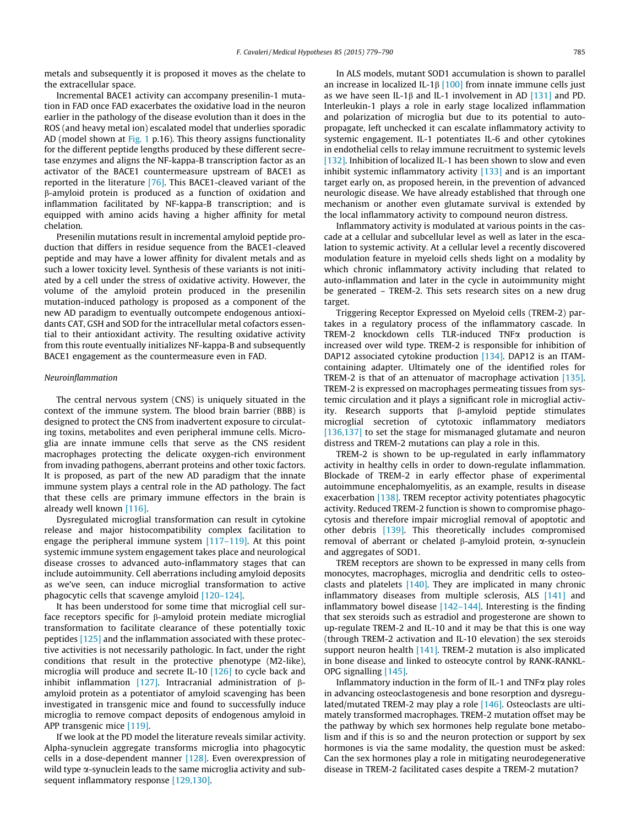metals and subsequently it is proposed it moves as the chelate to the extracellular space.

Incremental BACE1 activity can accompany presenilin-1 mutation in FAD once FAD exacerbates the oxidative load in the neuron earlier in the pathology of the disease evolution than it does in the ROS (and heavy metal ion) escalated model that underlies sporadic AD (model shown at [Fig. 1](#page-5-0) p.16). This theory assigns functionality for the different peptide lengths produced by these different secretase enzymes and aligns the NF-kappa-B transcription factor as an activator of the BACE1 countermeasure upstream of BACE1 as reported in the literature [\[76\].](#page-9-0) This BACE1-cleaved variant of the b-amyloid protein is produced as a function of oxidation and inflammation facilitated by NF-kappa-B transcription; and is equipped with amino acids having a higher affinity for metal chelation.

Presenilin mutations result in incremental amyloid peptide production that differs in residue sequence from the BACE1-cleaved peptide and may have a lower affinity for divalent metals and as such a lower toxicity level. Synthesis of these variants is not initiated by a cell under the stress of oxidative activity. However, the volume of the amyloid protein produced in the presenilin mutation-induced pathology is proposed as a component of the new AD paradigm to eventually outcompete endogenous antioxidants CAT, GSH and SOD for the intracellular metal cofactors essential to their antioxidant activity. The resulting oxidative activity from this route eventually initializes NF-kappa-B and subsequently BACE1 engagement as the countermeasure even in FAD.

#### Neuroinflammation

The central nervous system (CNS) is uniquely situated in the context of the immune system. The blood brain barrier (BBB) is designed to protect the CNS from inadvertent exposure to circulating toxins, metabolites and even peripheral immune cells. Microglia are innate immune cells that serve as the CNS resident macrophages protecting the delicate oxygen-rich environment from invading pathogens, aberrant proteins and other toxic factors. It is proposed, as part of the new AD paradigm that the innate immune system plays a central role in the AD pathology. The fact that these cells are primary immune effectors in the brain is already well known [\[116\].](#page-10-0)

Dysregulated microglial transformation can result in cytokine release and major histocompatibility complex facilitation to engage the peripheral immune system [\[117–119\]](#page-10-0). At this point systemic immune system engagement takes place and neurological disease crosses to advanced auto-inflammatory stages that can include autoimmunity. Cell aberrations including amyloid deposits as we've seen, can induce microglial transformation to active phagocytic cells that scavenge amyloid [\[120–124\].](#page-10-0)

It has been understood for some time that microglial cell surface receptors specific for  $\beta$ -amyloid protein mediate microglial transformation to facilitate clearance of these potentially toxic peptides [\[125\]](#page-10-0) and the inflammation associated with these protective activities is not necessarily pathologic. In fact, under the right conditions that result in the protective phenotype (M2-like), microglia will produce and secrete IL-10 [\[126\]](#page-10-0) to cycle back and inhibit inflammation [\[127\].](#page-10-0) Intracranial administration of  $\beta$ amyloid protein as a potentiator of amyloid scavenging has been investigated in transgenic mice and found to successfully induce microglia to remove compact deposits of endogenous amyloid in APP transgenic mice [\[119\].](#page-10-0)

If we look at the PD model the literature reveals similar activity. Alpha-synuclein aggregate transforms microglia into phagocytic cells in a dose-dependent manner [\[128\].](#page-10-0) Even overexpression of wild type  $\alpha$ -synuclein leads to the same microglia activity and subsequent inflammatory response [\[129,130\].](#page-10-0)

In ALS models, mutant SOD1 accumulation is shown to parallel an increase in localized IL-1b [\[100\]](#page-10-0) from innate immune cells just as we have seen IL-1b and IL-1 involvement in AD [\[131\]](#page-10-0) and PD. Interleukin-1 plays a role in early stage localized inflammation and polarization of microglia but due to its potential to autopropagate, left unchecked it can escalate inflammatory activity to systemic engagement. IL-1 potentiates IL-6 and other cytokines in endothelial cells to relay immune recruitment to systemic levels [\[132\].](#page-10-0) Inhibition of localized IL-1 has been shown to slow and even inhibit systemic inflammatory activity [\[133\]](#page-10-0) and is an important target early on, as proposed herein, in the prevention of advanced neurologic disease. We have already established that through one mechanism or another even glutamate survival is extended by the local inflammatory activity to compound neuron distress.

Inflammatory activity is modulated at various points in the cascade at a cellular and subcellular level as well as later in the escalation to systemic activity. At a cellular level a recently discovered modulation feature in myeloid cells sheds light on a modality by which chronic inflammatory activity including that related to auto-inflammation and later in the cycle in autoimmunity might be generated – TREM-2. This sets research sites on a new drug target.

Triggering Receptor Expressed on Myeloid cells (TREM-2) partakes in a regulatory process of the inflammatory cascade. In TREM-2 knockdown cells TLR-induced TNFa production is increased over wild type. TREM-2 is responsible for inhibition of DAP12 associated cytokine production [\[134\]](#page-10-0). DAP12 is an ITAMcontaining adapter. Ultimately one of the identified roles for TREM-2 is that of an attenuator of macrophage activation [\[135\].](#page-10-0) TREM-2 is expressed on macrophages permeating tissues from systemic circulation and it plays a significant role in microglial activity. Research supports that  $\beta$ -amyloid peptide stimulates microglial secretion of cytotoxic inflammatory mediators [\[136,137\]](#page-10-0) to set the stage for mismanaged glutamate and neuron distress and TREM-2 mutations can play a role in this.

TREM-2 is shown to be up-regulated in early inflammatory activity in healthy cells in order to down-regulate inflammation. Blockade of TREM-2 in early effector phase of experimental autoimmune encephalomyelitis, as an example, results in disease exacerbation [\[138\].](#page-10-0) TREM receptor activity potentiates phagocytic activity. Reduced TREM-2 function is shown to compromise phagocytosis and therefore impair microglial removal of apoptotic and other debris [\[139\]](#page-10-0). This theoretically includes compromised removal of aberrant or chelated  $\beta$ -amyloid protein,  $\alpha$ -synuclein and aggregates of SOD1.

TREM receptors are shown to be expressed in many cells from monocytes, macrophages, microglia and dendritic cells to osteoclasts and platelets  $[140]$ . They are implicated in many chronic inflammatory diseases from multiple sclerosis, ALS [\[141\]](#page-10-0) and inflammatory bowel disease  $[142-144]$ . Interesting is the finding that sex steroids such as estradiol and progesterone are shown to up-regulate TREM-2 and IL-10 and it may be that this is one way (through TREM-2 activation and IL-10 elevation) the sex steroids support neuron health  $[141]$ . TREM-2 mutation is also implicated in bone disease and linked to osteocyte control by RANK-RANKL-OPG signalling [\[145\].](#page-10-0)

Inflammatory induction in the form of IL-1 and TNF $\alpha$  play roles in advancing osteoclastogenesis and bone resorption and dysregulated/mutated TREM-2 may play a role [\[146\]](#page-10-0). Osteoclasts are ultimately transformed macrophages. TREM-2 mutation offset may be the pathway by which sex hormones help regulate bone metabolism and if this is so and the neuron protection or support by sex hormones is via the same modality, the question must be asked: Can the sex hormones play a role in mitigating neurodegenerative disease in TREM-2 facilitated cases despite a TREM-2 mutation?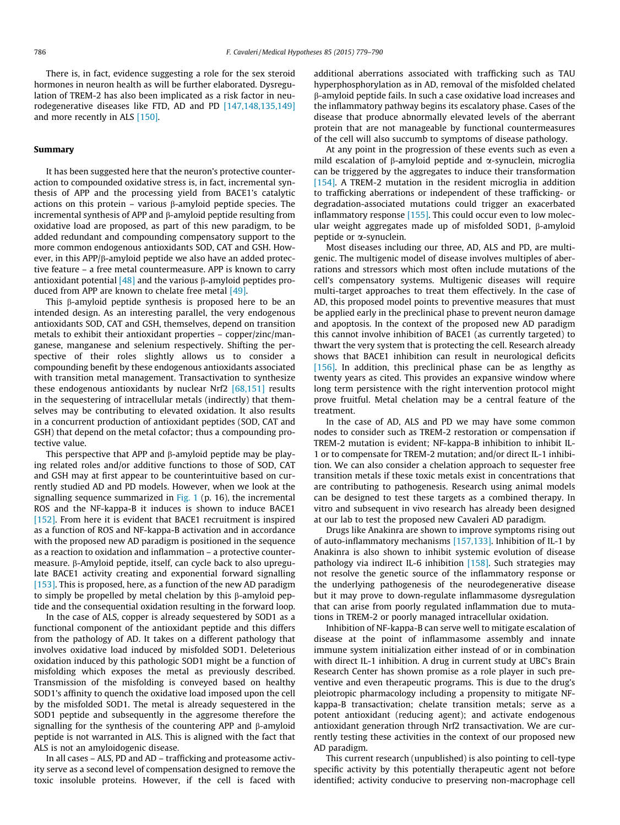There is, in fact, evidence suggesting a role for the sex steroid hormones in neuron health as will be further elaborated. Dysregulation of TREM-2 has also been implicated as a risk factor in neurodegenerative diseases like FTD, AD and PD [\[147,148,135,149\]](#page-11-0) and more recently in ALS [\[150\].](#page-11-0)

#### Summary

It has been suggested here that the neuron's protective counteraction to compounded oxidative stress is, in fact, incremental synthesis of APP and the processing yield from BACE1's catalytic actions on this protein – various  $\beta$ -amyloid peptide species. The incremental synthesis of APP and  $\beta$ -amyloid peptide resulting from oxidative load are proposed, as part of this new paradigm, to be added redundant and compounding compensatory support to the more common endogenous antioxidants SOD, CAT and GSH. However, in this  $APP/\beta$ -amyloid peptide we also have an added protective feature – a free metal countermeasure. APP is known to carry antioxidant potential  $[48]$  and the various  $\beta$ -amyloid peptides produced from APP are known to chelate free metal [\[49\]](#page-9-0).

This  $\beta$ -amyloid peptide synthesis is proposed here to be an intended design. As an interesting parallel, the very endogenous antioxidants SOD, CAT and GSH, themselves, depend on transition metals to exhibit their antioxidant properties – copper/zinc/manganese, manganese and selenium respectively. Shifting the perspective of their roles slightly allows us to consider a compounding benefit by these endogenous antioxidants associated with transition metal management. Transactivation to synthesize these endogenous antioxidants by nuclear Nrf2  $[68,151]$  results in the sequestering of intracellular metals (indirectly) that themselves may be contributing to elevated oxidation. It also results in a concurrent production of antioxidant peptides (SOD, CAT and GSH) that depend on the metal cofactor; thus a compounding protective value.

This perspective that APP and  $\beta$ -amyloid peptide may be playing related roles and/or additive functions to those of SOD, CAT and GSH may at first appear to be counterintuitive based on currently studied AD and PD models. However, when we look at the signalling sequence summarized in [Fig. 1](#page-5-0) (p. 16), the incremental ROS and the NF-kappa-B it induces is shown to induce BACE1 [\[152\].](#page-11-0) From here it is evident that BACE1 recruitment is inspired as a function of ROS and NF-kappa-B activation and in accordance with the proposed new AD paradigm is positioned in the sequence as a reaction to oxidation and inflammation – a protective countermeasure. β-Amyloid peptide, itself, can cycle back to also upregulate BACE1 activity creating and exponential forward signalling [\[153\].](#page-11-0) This is proposed, here, as a function of the new AD paradigm to simply be propelled by metal chelation by this  $\beta$ -amyloid peptide and the consequential oxidation resulting in the forward loop.

In the case of ALS, copper is already sequestered by SOD1 as a functional component of the antioxidant peptide and this differs from the pathology of AD. It takes on a different pathology that involves oxidative load induced by misfolded SOD1. Deleterious oxidation induced by this pathologic SOD1 might be a function of misfolding which exposes the metal as previously described. Transmission of the misfolding is conveyed based on healthy SOD1's affinity to quench the oxidative load imposed upon the cell by the misfolded SOD1. The metal is already sequestered in the SOD1 peptide and subsequently in the aggresome therefore the signalling for the synthesis of the countering APP and  $\beta$ -amyloid peptide is not warranted in ALS. This is aligned with the fact that ALS is not an amyloidogenic disease.

In all cases – ALS, PD and AD – trafficking and proteasome activity serve as a second level of compensation designed to remove the toxic insoluble proteins. However, if the cell is faced with

additional aberrations associated with trafficking such as TAU hyperphosphorylation as in AD, removal of the misfolded chelated b-amyloid peptide fails. In such a case oxidative load increases and the inflammatory pathway begins its escalatory phase. Cases of the disease that produce abnormally elevated levels of the aberrant protein that are not manageable by functional countermeasures of the cell will also succumb to symptoms of disease pathology.

At any point in the progression of these events such as even a mild escalation of  $\beta$ -amyloid peptide and  $\alpha$ -synuclein, microglia can be triggered by the aggregates to induce their transformation [\[154\].](#page-11-0) A TREM-2 mutation in the resident microglia in addition to trafficking aberrations or independent of these trafficking- or degradation-associated mutations could trigger an exacerbated inflammatory response [\[155\].](#page-11-0) This could occur even to low molecular weight aggregates made up of misfolded SOD1,  $\beta$ -amyloid peptide or a-synuclein.

Most diseases including our three, AD, ALS and PD, are multigenic. The multigenic model of disease involves multiples of aberrations and stressors which most often include mutations of the cell's compensatory systems. Multigenic diseases will require multi-target approaches to treat them effectively. In the case of AD, this proposed model points to preventive measures that must be applied early in the preclinical phase to prevent neuron damage and apoptosis. In the context of the proposed new AD paradigm this cannot involve inhibition of BACE1 (as currently targeted) to thwart the very system that is protecting the cell. Research already shows that BACE1 inhibition can result in neurological deficits [\[156\].](#page-11-0) In addition, this preclinical phase can be as lengthy as twenty years as cited. This provides an expansive window where long term persistence with the right intervention protocol might prove fruitful. Metal chelation may be a central feature of the treatment.

In the case of AD, ALS and PD we may have some common nodes to consider such as TREM-2 restoration or compensation if TREM-2 mutation is evident; NF-kappa-B inhibition to inhibit IL-1 or to compensate for TREM-2 mutation; and/or direct IL-1 inhibition. We can also consider a chelation approach to sequester free transition metals if these toxic metals exist in concentrations that are contributing to pathogenesis. Research using animal models can be designed to test these targets as a combined therapy. In vitro and subsequent in vivo research has already been designed at our lab to test the proposed new Cavaleri AD paradigm.

Drugs like Anakinra are shown to improve symptoms rising out of auto-inflammatory mechanisms [\[157,133\]](#page-11-0). Inhibition of IL-1 by Anakinra is also shown to inhibit systemic evolution of disease pathology via indirect IL-6 inhibition [\[158\]](#page-11-0). Such strategies may not resolve the genetic source of the inflammatory response or the underlying pathogenesis of the neurodegenerative disease but it may prove to down-regulate inflammasome dysregulation that can arise from poorly regulated inflammation due to mutations in TREM-2 or poorly managed intracellular oxidation.

Inhibition of NF-kappa-B can serve well to mitigate escalation of disease at the point of inflammasome assembly and innate immune system initialization either instead of or in combination with direct IL-1 inhibition. A drug in current study at UBC's Brain Research Center has shown promise as a role player in such preventive and even therapeutic programs. This is due to the drug's pleiotropic pharmacology including a propensity to mitigate NFkappa-B transactivation; chelate transition metals; serve as a potent antioxidant (reducing agent); and activate endogenous antioxidant generation through Nrf2 transactivation. We are currently testing these activities in the context of our proposed new AD paradigm.

This current research (unpublished) is also pointing to cell-type specific activity by this potentially therapeutic agent not before identified; activity conducive to preserving non-macrophage cell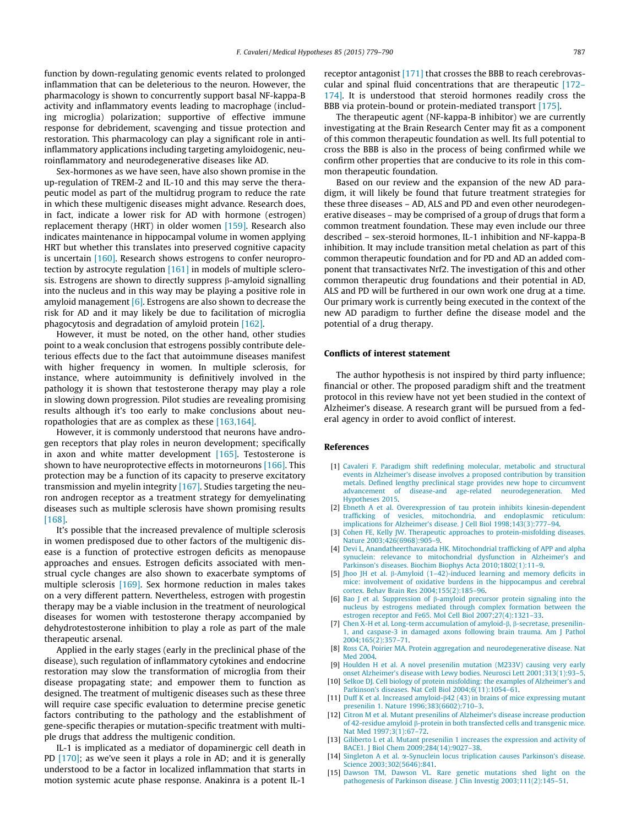<span id="page-8-0"></span>function by down-regulating genomic events related to prolonged inflammation that can be deleterious to the neuron. However, the pharmacology is shown to concurrently support basal NF-kappa-B activity and inflammatory events leading to macrophage (including microglia) polarization; supportive of effective immune response for debridement, scavenging and tissue protection and restoration. This pharmacology can play a significant role in antiinflammatory applications including targeting amyloidogenic, neuroinflammatory and neurodegenerative diseases like AD.

Sex-hormones as we have seen, have also shown promise in the up-regulation of TREM-2 and IL-10 and this may serve the therapeutic model as part of the multidrug program to reduce the rate in which these multigenic diseases might advance. Research does, in fact, indicate a lower risk for AD with hormone (estrogen) replacement therapy (HRT) in older women [\[159\]](#page-11-0). Research also indicates maintenance in hippocampal volume in women applying HRT but whether this translates into preserved cognitive capacity is uncertain [\[160\].](#page-11-0) Research shows estrogens to confer neuroprotection by astrocyte regulation [\[161\]](#page-11-0) in models of multiple sclerosis. Estrogens are shown to directly suppress  $\beta$ -amyloid signalling into the nucleus and in this way may be playing a positive role in amyloid management  $[6]$ . Estrogens are also shown to decrease the risk for AD and it may likely be due to facilitation of microglia phagocytosis and degradation of amyloid protein [\[162\]](#page-11-0).

However, it must be noted, on the other hand, other studies point to a weak conclusion that estrogens possibly contribute deleterious effects due to the fact that autoimmune diseases manifest with higher frequency in women. In multiple sclerosis, for instance, where autoimmunity is definitively involved in the pathology it is shown that testosterone therapy may play a role in slowing down progression. Pilot studies are revealing promising results although it's too early to make conclusions about neuropathologies that are as complex as these [\[163,164\]](#page-11-0).

However, it is commonly understood that neurons have androgen receptors that play roles in neuron development; specifically in axon and white matter development [\[165\].](#page-11-0) Testosterone is shown to have neuroprotective effects in motorneurons [\[166\].](#page-11-0) This protection may be a function of its capacity to preserve excitatory transmission and myelin integrity [\[167\]](#page-11-0). Studies targeting the neuron androgen receptor as a treatment strategy for demyelinating diseases such as multiple sclerosis have shown promising results [\[168\].](#page-11-0)

It's possible that the increased prevalence of multiple sclerosis in women predisposed due to other factors of the multigenic disease is a function of protective estrogen deficits as menopause approaches and ensues. Estrogen deficits associated with menstrual cycle changes are also shown to exacerbate symptoms of multiple sclerosis [\[169\].](#page-11-0) Sex hormone reduction in males takes on a very different pattern. Nevertheless, estrogen with progestin therapy may be a viable inclusion in the treatment of neurological diseases for women with testosterone therapy accompanied by dehydrotestosterone inhibition to play a role as part of the male therapeutic arsenal.

Applied in the early stages (early in the preclinical phase of the disease), such regulation of inflammatory cytokines and endocrine restoration may slow the transformation of microglia from their disease propagating state; and empower them to function as designed. The treatment of multigenic diseases such as these three will require case specific evaluation to determine precise genetic factors contributing to the pathology and the establishment of gene-specific therapies or mutation-specific treatment with multiple drugs that address the multigenic condition.

IL-1 is implicated as a mediator of dopaminergic cell death in PD [\[170\]](#page-11-0); as we've seen it plays a role in AD; and it is generally understood to be a factor in localized inflammation that starts in motion systemic acute phase response. Anakinra is a potent IL-1

receptor antagonist [\[171\]](#page-11-0) that crosses the BBB to reach cerebrovascular and spinal fluid concentrations that are therapeutic [\[172–](#page-11-0) [174\].](#page-11-0) It is understood that steroid hormones readily cross the BBB via protein-bound or protein-mediated transport [\[175\].](#page-11-0)

The therapeutic agent (NF-kappa-B inhibitor) we are currently investigating at the Brain Research Center may fit as a component of this common therapeutic foundation as well. Its full potential to cross the BBB is also in the process of being confirmed while we confirm other properties that are conducive to its role in this common therapeutic foundation.

Based on our review and the expansion of the new AD paradigm, it will likely be found that future treatment strategies for these three diseases – AD, ALS and PD and even other neurodegenerative diseases – may be comprised of a group of drugs that form a common treatment foundation. These may even include our three described – sex-steroid hormones, IL-1 inhibition and NF-kappa-B inhibition. It may include transition metal chelation as part of this common therapeutic foundation and for PD and AD an added component that transactivates Nrf2. The investigation of this and other common therapeutic drug foundations and their potential in AD, ALS and PD will be furthered in our own work one drug at a time. Our primary work is currently being executed in the context of the new AD paradigm to further define the disease model and the potential of a drug therapy.

#### Conflicts of interest statement

The author hypothesis is not inspired by third party influence; financial or other. The proposed paradigm shift and the treatment protocol in this review have not yet been studied in the context of Alzheimer's disease. A research grant will be pursued from a federal agency in order to avoid conflict of interest.

#### References

- [1] [Cavaleri F. Paradigm shift redefining molecular, metabolic and structural](http://refhub.elsevier.com/S0306-9877(15)00380-1/h0005) [events in Alzheimer's disease involves a proposed contribution by transition](http://refhub.elsevier.com/S0306-9877(15)00380-1/h0005) [metals. Defined lengthy preclinical stage provides new hope to circumvent](http://refhub.elsevier.com/S0306-9877(15)00380-1/h0005) [advancement of disease-and age-related neurodegeneration. Med](http://refhub.elsevier.com/S0306-9877(15)00380-1/h0005) [Hypotheses 2015](http://refhub.elsevier.com/S0306-9877(15)00380-1/h0005).
- [2] [Ebneth A et al. Overexpression of tau protein inhibits kinesin-dependent](http://refhub.elsevier.com/S0306-9877(15)00380-1/h0010) [trafficking of vesicles, mitochondria, and endoplasmic reticulum:](http://refhub.elsevier.com/S0306-9877(15)00380-1/h0010) [implications for Alzheimer's disease. J Cell Biol 1998;143\(3\):777–94](http://refhub.elsevier.com/S0306-9877(15)00380-1/h0010).
- [3] Cohen FE, Kelly JW. Therapeutic approaches to protein-misfolding diseases [Nature 2003;426\(6968\):905–9.](http://refhub.elsevier.com/S0306-9877(15)00380-1/h0015)
- [4] [Devi L, Anandatheerthavarada HK. Mitochondrial trafficking of APP and alpha](http://refhub.elsevier.com/S0306-9877(15)00380-1/h0020) [synuclein: relevance to mitochondrial dysfunction in Alzheimer's and](http://refhub.elsevier.com/S0306-9877(15)00380-1/h0020) [Parkinson's diseases. Biochim Biophys Acta 2010;1802\(1\):11–9.](http://refhub.elsevier.com/S0306-9877(15)00380-1/h0020)
- [5] Jhoo JH et al.  $\beta$ -Amyloid (1-42)-induced learning and memory deficits in [mice: involvement of oxidative burdens in the hippocampus and cerebral](http://refhub.elsevier.com/S0306-9877(15)00380-1/h0025) [cortex. Behav Brain Res 2004;155\(2\):185–96](http://refhub.elsevier.com/S0306-9877(15)00380-1/h0025).
- [6] Bao J et al. Suppression of  $\beta$ [-amyloid precursor protein signaling into the](http://refhub.elsevier.com/S0306-9877(15)00380-1/h0030) [nucleus by estrogens mediated through complex formation between the](http://refhub.elsevier.com/S0306-9877(15)00380-1/h0030) [estrogen receptor and Fe65. Mol Cell Biol 2007;27\(4\):1321–33.](http://refhub.elsevier.com/S0306-9877(15)00380-1/h0030)
- [7] [Chen X-H et al. Long-term accumulation of amyloid-](http://refhub.elsevier.com/S0306-9877(15)00380-1/h0035) $\beta$ ,  $\beta$ -secretase, presenilin-[1, and caspase-3 in damaged axons following brain trauma. Am J Pathol](http://refhub.elsevier.com/S0306-9877(15)00380-1/h0035) [2004;165\(2\):357–71](http://refhub.elsevier.com/S0306-9877(15)00380-1/h0035).
- [8] [Ross CA, Poirier MA. Protein aggregation and neurodegenerative disease. Nat](http://refhub.elsevier.com/S0306-9877(15)00380-1/h0040) [Med 2004](http://refhub.elsevier.com/S0306-9877(15)00380-1/h0040).
- [9] [Houlden H et al. A novel presenilin mutation \(M233V\) causing very early](http://refhub.elsevier.com/S0306-9877(15)00380-1/h0045) [onset Alzheimer's disease with Lewy bodies. Neurosci Lett 2001;313\(1\):93–5.](http://refhub.elsevier.com/S0306-9877(15)00380-1/h0045)
- [10] [Selkoe DJ. Cell biology of protein misfolding: the examples of Alzheimer's and](http://refhub.elsevier.com/S0306-9877(15)00380-1/h0050) [Parkinson's diseases. Nat Cell Biol 2004;6\(11\):1054–61.](http://refhub.elsevier.com/S0306-9877(15)00380-1/h0050)
- [11] Duff K et al. Increased amyloid-b[42 \(43\) in brains of mice expressing mutant](http://refhub.elsevier.com/S0306-9877(15)00380-1/h0055) [presenilin 1. Nature 1996;383\(6602\):710–3](http://refhub.elsevier.com/S0306-9877(15)00380-1/h0055).
- [12] [Citron M et al. Mutant presenilins of Alzheimer's disease increase production](http://refhub.elsevier.com/S0306-9877(15)00380-1/h0060) of 42-residue amyloid  $\hat{\beta}$ [-protein in both transfected cells and transgenic mice.](http://refhub.elsevier.com/S0306-9877(15)00380-1/h0060) [Nat Med 1997;3\(1\):67–72](http://refhub.elsevier.com/S0306-9877(15)00380-1/h0060).
- [13] [Giliberto L et al. Mutant presenilin 1 increases the expression and activity of](http://refhub.elsevier.com/S0306-9877(15)00380-1/h0065) [BACE1. J Biol Chem 2009;284\(14\):9027–38](http://refhub.elsevier.com/S0306-9877(15)00380-1/h0065).
- [14] Singleton A et al.  $\alpha$ [-Synuclein locus triplication causes Parkinson's disease.](http://refhub.elsevier.com/S0306-9877(15)00380-1/h0070) [Science 2003;302\(5646\):841.](http://refhub.elsevier.com/S0306-9877(15)00380-1/h0070)
- [15] [Dawson TM, Dawson VL. Rare genetic mutations shed light on the](http://refhub.elsevier.com/S0306-9877(15)00380-1/h0075) [pathogenesis of Parkinson disease. J Clin Investig 2003;111\(2\):145–51.](http://refhub.elsevier.com/S0306-9877(15)00380-1/h0075)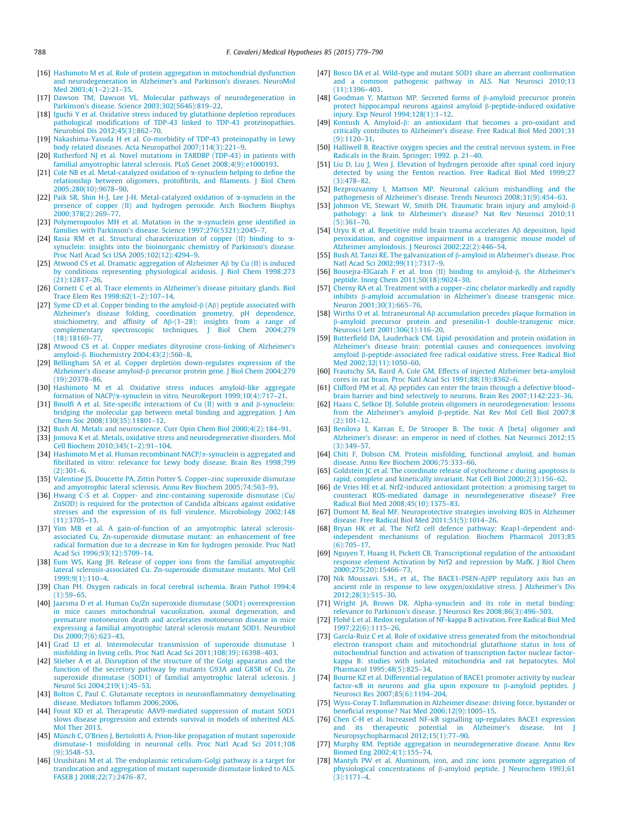- <span id="page-9-0"></span>[16] [Hashimoto M et al. Role of protein aggregation in mitochondrial dysfunction](http://refhub.elsevier.com/S0306-9877(15)00380-1/h0080) [and neurodegeneration in Alzheimer's and Parkinson's diseases. NeuroMol](http://refhub.elsevier.com/S0306-9877(15)00380-1/h0080) [Med 2003;4\(1–2\):21–35](http://refhub.elsevier.com/S0306-9877(15)00380-1/h0080).
- [17] [Dawson TM, Dawson VL. Molecular pathways of neurodegeneration in](http://refhub.elsevier.com/S0306-9877(15)00380-1/h0085) [Parkinson's disease. Science 2003;302\(5646\):819–22](http://refhub.elsevier.com/S0306-9877(15)00380-1/h0085).
- [18] [Iguchi Y et al. Oxidative stress induced by glutathione depletion reproduces](http://refhub.elsevier.com/S0306-9877(15)00380-1/h0090) [pathological modifications of TDP-43 linked to TDP-43 proteinopathies.](http://refhub.elsevier.com/S0306-9877(15)00380-1/h0090) [Neurobiol Dis 2012;45\(3\):862–70](http://refhub.elsevier.com/S0306-9877(15)00380-1/h0090).
- [19] [Nakashima-Yasuda H et al. Co-morbidity of TDP-43 proteinopathy in Lewy](http://refhub.elsevier.com/S0306-9877(15)00380-1/h0095) [body related diseases. Acta Neuropathol 2007;114\(3\):221–9.](http://refhub.elsevier.com/S0306-9877(15)00380-1/h0095)
- [20] [Rutherford NJ et al. Novel mutations in TARDBP \(TDP-43\) in patients with](http://refhub.elsevier.com/S0306-9877(15)00380-1/h0100) [familial amyotrophic lateral sclerosis. PLoS Genet 2008;4\(9\):e1000193](http://refhub.elsevier.com/S0306-9877(15)00380-1/h0100).
- [21] [Cole NB et al. Metal-catalyzed oxidation of](http://refhub.elsevier.com/S0306-9877(15)00380-1/h0105) α-synuclein helping to define the [relationship between oligomers, protofibrils, and filaments. J Biol Chem](http://refhub.elsevier.com/S0306-9877(15)00380-1/h0105) [2005;280\(10\):9678–90.](http://refhub.elsevier.com/S0306-9877(15)00380-1/h0105)
- [22] [Paik SR, Shin H-J, Lee J-H. Metal-catalyzed oxidation of](http://refhub.elsevier.com/S0306-9877(15)00380-1/h0110)  $\alpha$ -synuclein in the [presence of copper \(II\) and hydrogen peroxide. Arch Biochem Biophys](http://refhub.elsevier.com/S0306-9877(15)00380-1/h0110) [2000;378\(2\):269–77](http://refhub.elsevier.com/S0306-9877(15)00380-1/h0110).
- [23] [Polymeropoulos MH et al. Mutation in the](http://refhub.elsevier.com/S0306-9877(15)00380-1/h0115)  $\alpha$ -synuclein gene identified in [families with Parkinson's disease. Science 1997;276\(5321\):2045–7.](http://refhub.elsevier.com/S0306-9877(15)00380-1/h0115)
- [24] [Rasia RM et al. Structural characterization of copper \(II\) binding to](http://refhub.elsevier.com/S0306-9877(15)00380-1/h0120) a[synuclein: insights into the bioinorganic chemistry of Parkinson's disease.](http://refhub.elsevier.com/S0306-9877(15)00380-1/h0120) [Proc Natl Acad Sci USA 2005;102\(12\):4294–9](http://refhub.elsevier.com/S0306-9877(15)00380-1/h0120).
- [25] [Atwood CS et al. Dramatic aggregation of Alzheimer A](http://refhub.elsevier.com/S0306-9877(15)00380-1/h0125)ß by Cu (II) is induced [by conditions representing physiological acidosis. J Biol Chem 1998;273](http://refhub.elsevier.com/S0306-9877(15)00380-1/h0125) [\(21\):12817–26.](http://refhub.elsevier.com/S0306-9877(15)00380-1/h0125)
- [26] [Cornett C et al. Trace elements in Alzheimer's disease pituitary glands. Biol](http://refhub.elsevier.com/S0306-9877(15)00380-1/h0130) [Trace Elem Res 1998;62\(1–2\):107–14](http://refhub.elsevier.com/S0306-9877(15)00380-1/h0130).
- [27] [Syme CD et al. Copper binding to the amyloid-](http://refhub.elsevier.com/S0306-9877(15)00380-1/h0135) $\beta$  (A $\beta$ ) peptide associated with [Alzheimer's disease folding, coordination geometry, pH dependence,](http://refhub.elsevier.com/S0306-9877(15)00380-1/h0135) stoichiometry, and affinity of  $AP-(1-28)$ : insights from a range of [complementary spectroscopic techniques. J Biol Chem 2004;279](http://refhub.elsevier.com/S0306-9877(15)00380-1/h0135) [\(18\):18169–77.](http://refhub.elsevier.com/S0306-9877(15)00380-1/h0135)
- [28] [Atwood CS et al. Copper mediates dityrosine cross-linking of Alzheimer's](http://refhub.elsevier.com/S0306-9877(15)00380-1/h0140) amyloid-b[. Biochemistry 2004;43\(2\):560–8](http://refhub.elsevier.com/S0306-9877(15)00380-1/h0140).
- [29] [Bellingham SA et al. Copper depletion down-regulates expression of the](http://refhub.elsevier.com/S0306-9877(15)00380-1/h0145) Alzheimer's disease amyloid-b [precursor protein gene. J Biol Chem 2004;279](http://refhub.elsevier.com/S0306-9877(15)00380-1/h0145) [\(19\):20378–86.](http://refhub.elsevier.com/S0306-9877(15)00380-1/h0145)
- [30] [Hashimoto M et al. Oxidative stress induces amyloid-like aggregate](http://refhub.elsevier.com/S0306-9877(15)00380-1/h0150) formation of NACP/ $\alpha$ [-synuclein in vitro. NeuroReport 1999;10\(4\):717–21.](http://refhub.elsevier.com/S0306-9877(15)00380-1/h0150)
- [31] [Binolfi A et al. Site-specific interactions of Cu \(II\) with](http://refhub.elsevier.com/S0306-9877(15)00380-1/h0155)  $\alpha$  and  $\beta$ -synuclein: [bridging the molecular gap between metal binding and aggregation. J Am](http://refhub.elsevier.com/S0306-9877(15)00380-1/h0155) [Chem Soc 2008;130\(35\):11801–12](http://refhub.elsevier.com/S0306-9877(15)00380-1/h0155).
- [32] [Bush AI. Metals and neuroscience. Curr Opin Chem Biol 2000;4\(2\):184–91.](http://refhub.elsevier.com/S0306-9877(15)00380-1/h0160) [33] [Jomova K et al. Metals, oxidative stress and neurodegenerative disorders. Mol](http://refhub.elsevier.com/S0306-9877(15)00380-1/h0165)
- [Cell Biochem 2010;345\(1–2\):91–104.](http://refhub.elsevier.com/S0306-9877(15)00380-1/h0165) [34] [Hashimoto M et al. Human recombinant NACP/](http://refhub.elsevier.com/S0306-9877(15)00380-1/h0170) $\alpha$ -synuclein is aggregated and
- [fibrillated in vitro: relevance for Lewy body disease. Brain Res 1998;799](http://refhub.elsevier.com/S0306-9877(15)00380-1/h0170) [\(2\):301–6](http://refhub.elsevier.com/S0306-9877(15)00380-1/h0170).
- [35] [Valentine JS, Doucette PA, Zittin Potter S. Copper–zinc superoxide dismutase](http://refhub.elsevier.com/S0306-9877(15)00380-1/h0175) [and amyotrophic lateral sclerosis. Annu Rev Biochem 2005;74:563–93](http://refhub.elsevier.com/S0306-9877(15)00380-1/h0175).
- [36] [Hwang C-S et al. Copper- and zinc-containing superoxide dismutase \(Cu/](http://refhub.elsevier.com/S0306-9877(15)00380-1/h0180) [ZnSOD\) is required for the protection of Candida albicans against oxidative](http://refhub.elsevier.com/S0306-9877(15)00380-1/h0180) [stresses and the expression of its full virulence. Microbiology 2002;148](http://refhub.elsevier.com/S0306-9877(15)00380-1/h0180) [\(11\):3705–13.](http://refhub.elsevier.com/S0306-9877(15)00380-1/h0180)
- [37] [Yim MB et al. A gain-of-function of an amyotrophic lateral sclerosis](http://refhub.elsevier.com/S0306-9877(15)00380-1/h0185)[associated Cu, Zn-superoxide dismutase mutant: an enhancement of free](http://refhub.elsevier.com/S0306-9877(15)00380-1/h0185) [radical formation due to a decrease in Km for hydrogen peroxide. Proc Natl](http://refhub.elsevier.com/S0306-9877(15)00380-1/h0185) [Acad Sci 1996;93\(12\):5709–14.](http://refhub.elsevier.com/S0306-9877(15)00380-1/h0185)
- [38] [Eum WS, Kang JH. Release of copper ions from the familial amyotrophic](http://refhub.elsevier.com/S0306-9877(15)00380-1/h0190) [lateral sclerosis-associated Cu. Zn-superoxide dismutase mutants. Mol Cell](http://refhub.elsevier.com/S0306-9877(15)00380-1/h0190)  $1999.9(1):110-4$
- [39] [Chan PH. Oxygen radicals in focal cerebral ischemia. Brain Pathol 1994;4](http://refhub.elsevier.com/S0306-9877(15)00380-1/h0195)  $(1):59-65.$
- [40] [Jaarsma D et al. Human Cu/Zn superoxide dismutase \(SOD1\) overexpression](http://refhub.elsevier.com/S0306-9877(15)00380-1/h0200) [in mice causes mitochondrial vacuolization, axonal degeneration, and](http://refhub.elsevier.com/S0306-9877(15)00380-1/h0200) [premature motoneuron death and accelerates motoneuron disease in mice](http://refhub.elsevier.com/S0306-9877(15)00380-1/h0200) [expressing a familial amyotrophic lateral sclerosis mutant SOD1. Neurobiol](http://refhub.elsevier.com/S0306-9877(15)00380-1/h0200) [Dis 2000;7\(6\):623–43](http://refhub.elsevier.com/S0306-9877(15)00380-1/h0200).
- [41] [Grad LI et al. Intermolecular transmission of superoxide dismutase 1](http://refhub.elsevier.com/S0306-9877(15)00380-1/h0205) [misfolding in living cells. Proc Natl Acad Sci 2011;108\(39\):16398–403.](http://refhub.elsevier.com/S0306-9877(15)00380-1/h0205)
- [42] [Stieber A et al. Disruption of the structure of the Golgi apparatus and the](http://refhub.elsevier.com/S0306-9877(15)00380-1/h0210) [function of the secretory pathway by mutants G93A and G85R of Cu, Zn](http://refhub.elsevier.com/S0306-9877(15)00380-1/h0210) [superoxide dismutase \(SOD1\) of familial amyotrophic lateral sclerosis. J](http://refhub.elsevier.com/S0306-9877(15)00380-1/h0210) [Neurol Sci 2004;219\(1\):45–53.](http://refhub.elsevier.com/S0306-9877(15)00380-1/h0210)
- [43] [Bolton C, Paul C. Glutamate receptors in neuroinflammatory demyelinating](http://refhub.elsevier.com/S0306-9877(15)00380-1/h0215) [disease. Mediators Inflamm 2006;2006](http://refhub.elsevier.com/S0306-9877(15)00380-1/h0215).
- [44] [Foust KD et al. Therapeutic AAV9-mediated suppression of mutant SOD1](http://refhub.elsevier.com/S0306-9877(15)00380-1/h0220) [slows disease progression and extends survival in models of inherited ALS.](http://refhub.elsevier.com/S0306-9877(15)00380-1/h0220) [Mol Ther 2013](http://refhub.elsevier.com/S0306-9877(15)00380-1/h0220).
- [45] [Münch C, O'Brien J, Bertolotti A. Prion-like propagation of mutant superoxide](http://refhub.elsevier.com/S0306-9877(15)00380-1/h0225) [dismutase-1 misfolding in neuronal cells. Proc Natl Acad Sci 2011;108](http://refhub.elsevier.com/S0306-9877(15)00380-1/h0225) [\(9\):3548–53](http://refhub.elsevier.com/S0306-9877(15)00380-1/h0225).
- [46] [Urushitani M et al. The endoplasmic reticulum-Golgi pathway is a target for](http://refhub.elsevier.com/S0306-9877(15)00380-1/h0230) [translocation and aggregation of mutant superoxide dismutase linked to ALS.](http://refhub.elsevier.com/S0306-9877(15)00380-1/h0230) [FASEB J 2008;22\(7\):2476–87](http://refhub.elsevier.com/S0306-9877(15)00380-1/h0230).
- [47] [Bosco DA et al. Wild-type and mutant SOD1 share an aberrant conformation](http://refhub.elsevier.com/S0306-9877(15)00380-1/h0235) [and a common pathogenic pathway in ALS. Nat Neurosci 2010;13](http://refhub.elsevier.com/S0306-9877(15)00380-1/h0235) [\(11\):1396–403.](http://refhub.elsevier.com/S0306-9877(15)00380-1/h0235)
- [48] [Goodman Y, Mattson MP. Secreted forms of](http://refhub.elsevier.com/S0306-9877(15)00380-1/h0240)  $\beta$ -amyloid precursor protein [protect hippocampal neurons against amyloid](http://refhub.elsevier.com/S0306-9877(15)00380-1/h0240)  $\beta$ -peptide-induced oxidative [injury. Exp Neurol 1994;128\(1\):1–12.](http://refhub.elsevier.com/S0306-9877(15)00380-1/h0240)
- [49] Kontush A. Amyloid-b[: an antioxidant that becomes a pro-oxidant and](http://refhub.elsevier.com/S0306-9877(15)00380-1/h0245) [critically contributes to Alzheimer's disease. Free Radical Biol Med 2001;31](http://refhub.elsevier.com/S0306-9877(15)00380-1/h0245)  $(9):1120-31.$
- [50] [Halliwell B. Reactive oxygen species and the central nervous system, in Free](http://refhub.elsevier.com/S0306-9877(15)00380-1/h0250) [Radicals in the Brain. Springer; 1992. p. 21–40](http://refhub.elsevier.com/S0306-9877(15)00380-1/h0250).
- [51] [Liu D, Liu J, Wen J. Elevation of hydrogen peroxide after spinal cord injury](http://refhub.elsevier.com/S0306-9877(15)00380-1/h0255) [detected by using the Fenton reaction. Free Radical Biol Med 1999;27](http://refhub.elsevier.com/S0306-9877(15)00380-1/h0255) [\(3\):478–82](http://refhub.elsevier.com/S0306-9877(15)00380-1/h0255).
- [52] [Bezprozvanny I, Mattson MP. Neuronal calcium mishandling and the](http://refhub.elsevier.com/S0306-9877(15)00380-1/h0260) [pathogenesis of Alzheimer's disease. Trends Neurosci 2008;31\(9\):454–63.](http://refhub.elsevier.com/S0306-9877(15)00380-1/h0260)
- [53] [Johnson VE, Stewart W, Smith DH. Traumatic brain injury and amyloid-](http://refhub.elsevier.com/S0306-9877(15)00380-1/h0265) $\beta$ [pathology: a link to Alzheimer's disease? Nat Rev Neurosci 2010;11](http://refhub.elsevier.com/S0306-9877(15)00380-1/h0265)  $(5):361-70.$
- [54] Uryu K et al. Repetitive mild brain trauma accelerates  $\overrightarrow{AB}$  deposition, lipid [peroxidation, and cognitive impairment in a transgenic mouse model of](http://refhub.elsevier.com/S0306-9877(15)00380-1/h0270) [Alzheimer amyloidosis. J Neurosci 2002;22\(2\):446–54](http://refhub.elsevier.com/S0306-9877(15)00380-1/h0270).
- [55] [Bush AI, Tanzi RE. The galvanization of](http://refhub.elsevier.com/S0306-9877(15)00380-1/h0275) b-amyloid in Alzheimer's disease. Proc [Natl Acad Sci 2002;99\(11\):7317–9.](http://refhub.elsevier.com/S0306-9877(15)00380-1/h0275)
- [56] [Bousejra-ElGarah F et al. Iron \(II\) binding to amyloid-](http://refhub.elsevier.com/S0306-9877(15)00380-1/h0280)b, the Alzheimer's [peptide. Inorg Chem 2011;50\(18\):9024–30](http://refhub.elsevier.com/S0306-9877(15)00380-1/h0280).
- [57] [Cherny RA et al. Treatment with a copper–zinc chelator markedly and rapidly](http://refhub.elsevier.com/S0306-9877(15)00380-1/h0285) inhibits b[-amyloid accumulation in Alzheimer's disease transgenic mice.](http://refhub.elsevier.com/S0306-9877(15)00380-1/h0285) [Neuron 2001;30\(3\):665–76.](http://refhub.elsevier.com/S0306-9877(15)00380-1/h0285)
- [58] Wirths O et al. Intraneuronal Ab [accumulation precedes plaque formation in](http://refhub.elsevier.com/S0306-9877(15)00380-1/h0290) b[-amyloid precursor protein and presenilin-1 double-transgenic mice.](http://refhub.elsevier.com/S0306-9877(15)00380-1/h0290) [Neurosci Lett 2001;306\(1\):116–20.](http://refhub.elsevier.com/S0306-9877(15)00380-1/h0290)
- [59] [Butterfield DA, Lauderback CM. Lipid peroxidation and protein oxidation in](http://refhub.elsevier.com/S0306-9877(15)00380-1/h0295) [Alzheimer's disease brain: potential causes and consequences involving](http://refhub.elsevier.com/S0306-9877(15)00380-1/h0295) amyloid b[-peptide-associated free radical oxidative stress. Free Radical Biol](http://refhub.elsevier.com/S0306-9877(15)00380-1/h0295) [Med 2002;32\(11\):1050–60](http://refhub.elsevier.com/S0306-9877(15)00380-1/h0295).
- [60] [Frautschy SA, Baird A, Cole GM. Effects of injected Alzheimer beta-amyloid](http://refhub.elsevier.com/S0306-9877(15)00380-1/h0300) [cores in rat brain. Proc Natl Acad Sci 1991;88\(19\):8362–6](http://refhub.elsevier.com/S0306-9877(15)00380-1/h0300).
- [61] Clifford PM et al. A $\beta$  peptides can enter the brain through a defective blood[brain barrier and bind selectively to neurons. Brain Res 2007;1142:223–36](http://refhub.elsevier.com/S0306-9877(15)00380-1/h0305).
- [62] [Haass C, Selkoe DJ. Soluble protein oligomers in neurodegeneration: lessons](http://refhub.elsevier.com/S0306-9877(15)00380-1/h0310) from the Alzheimer's amyloid b[-peptide. Nat Rev Mol Cell Biol 2007;8](http://refhub.elsevier.com/S0306-9877(15)00380-1/h0310) [\(2\):101–12](http://refhub.elsevier.com/S0306-9877(15)00380-1/h0310).
- [63] [Benilova I, Karran E, De Strooper B. The toxic A \[beta\] oligomer and](http://refhub.elsevier.com/S0306-9877(15)00380-1/h0315) [Alzheimer's disease: an emperor in need of clothes. Nat Neurosci 2012;15](http://refhub.elsevier.com/S0306-9877(15)00380-1/h0315) [\(3\):349–57](http://refhub.elsevier.com/S0306-9877(15)00380-1/h0315).
- [64] [Chiti F, Dobson CM. Protein misfolding, functional amyloid, and human](http://refhub.elsevier.com/S0306-9877(15)00380-1/h0320) [disease. Annu Rev Biochem 2006;75:333–66](http://refhub.elsevier.com/S0306-9877(15)00380-1/h0320).
- [65] [Goldstein JC et al. The coordinate release of cytochrome c during apoptosis is](http://refhub.elsevier.com/S0306-9877(15)00380-1/h0325) [rapid, complete and kinetically invariant. Nat Cell Biol 2000;2\(3\):156–62](http://refhub.elsevier.com/S0306-9877(15)00380-1/h0325).
- [66] [de Vries HE et al. Nrf2-induced antioxidant protection: a promising target to](http://refhub.elsevier.com/S0306-9877(15)00380-1/h0330) [counteract ROS-mediated damage in neurodegenerative disease? Free](http://refhub.elsevier.com/S0306-9877(15)00380-1/h0330) [Radical Biol Med 2008;45\(10\):1375–83](http://refhub.elsevier.com/S0306-9877(15)00380-1/h0330).
- [67] [Dumont M, Beal MF. Neuroprotective strategies involving ROS in Alzheimer](http://refhub.elsevier.com/S0306-9877(15)00380-1/h0335) [disease. Free Radical Biol Med 2011;51\(5\):1014–26](http://refhub.elsevier.com/S0306-9877(15)00380-1/h0335).
- [68] [Bryan HK et al. The Nrf2 cell defence pathway: Keap1-dependent and](http://refhub.elsevier.com/S0306-9877(15)00380-1/h0340)[independent mechanisms of regulation. Biochem Pharmacol 2013;85](http://refhub.elsevier.com/S0306-9877(15)00380-1/h0340) [\(6\):705–17](http://refhub.elsevier.com/S0306-9877(15)00380-1/h0340).
- [69] [Nguyen T, Huang H, Pickett CB. Transcriptional regulation of the antioxidant](http://refhub.elsevier.com/S0306-9877(15)00380-1/h0345) [response element Activation by Nrf2 and repression by MafK. J Biol Chem](http://refhub.elsevier.com/S0306-9877(15)00380-1/h0345) [2000;275\(20\):15466–73.](http://refhub.elsevier.com/S0306-9877(15)00380-1/h0345)
- [70] [Nik Moussavi. S.H., et al., The BACE1-PSEN-A](http://refhub.elsevier.com/S0306-9877(15)00380-1/h0350)bPP regulatory axis has an [ancient role in response to low oxygen/oxidative stress. J Alzheimer's Dis](http://refhub.elsevier.com/S0306-9877(15)00380-1/h0350) [2012;28\(3\):515–30](http://refhub.elsevier.com/S0306-9877(15)00380-1/h0350).
- [71] [Wright JA, Brown DR. Alpha-synuclein and its role in metal binding:](http://refhub.elsevier.com/S0306-9877(15)00380-1/h0355) [relevance to Parkinson's disease. J Neurosci Res 2008;86\(3\):496–503.](http://refhub.elsevier.com/S0306-9877(15)00380-1/h0355)
- [72] [Flohé L et al. Redox regulation of NF-kappa B activation. Free Radical Biol Med](http://refhub.elsevier.com/S0306-9877(15)00380-1/h0360) [1997;22\(6\):1115–26](http://refhub.elsevier.com/S0306-9877(15)00380-1/h0360).
- [73] [García-Ruiz C et al. Role of oxidative stress generated from the mitochondrial](http://refhub.elsevier.com/S0306-9877(15)00380-1/h0365) [electron transport chain and mitochondrial glutathione status in loss of](http://refhub.elsevier.com/S0306-9877(15)00380-1/h0365) [mitochondrial function and activation of transcription factor nuclear factor](http://refhub.elsevier.com/S0306-9877(15)00380-1/h0365)[kappa B: studies with isolated mitochondria and rat hepatocytes. Mol](http://refhub.elsevier.com/S0306-9877(15)00380-1/h0365) [Pharmacol 1995;48\(5\):825–34.](http://refhub.elsevier.com/S0306-9877(15)00380-1/h0365)
- [74] [Bourne KZ et al. Differential regulation of BACE1 promoter activity by nuclear](http://refhub.elsevier.com/S0306-9877(15)00380-1/h0370) factor- $\kappa$ [B in neurons and glia upon exposure to](http://refhub.elsevier.com/S0306-9877(15)00380-1/h0370)  $\beta$ -amyloid peptides. J [Neurosci Res 2007;85\(6\):1194–204](http://refhub.elsevier.com/S0306-9877(15)00380-1/h0370).
- [75] [Wyss-Coray T. Inflammation in Alzheimer disease: driving force, bystander or](http://refhub.elsevier.com/S0306-9877(15)00380-1/h0375) [beneficial response? Nat Med 2006;12\(9\):1005–15](http://refhub.elsevier.com/S0306-9877(15)00380-1/h0375).
- [76] Chen C-H et al. Increased NF-K[B signalling up-regulates BACE1 expression](http://refhub.elsevier.com/S0306-9877(15)00380-1/h0380) [and its therapeutic potential in Alzheimer's disease. Int J](http://refhub.elsevier.com/S0306-9877(15)00380-1/h0380) [Neuropsychopharmacol 2012;15\(1\):77–90.](http://refhub.elsevier.com/S0306-9877(15)00380-1/h0380)
- [77] [Murphy RM. Peptide aggregation in neurodegenerative disease. Annu Rev](http://refhub.elsevier.com/S0306-9877(15)00380-1/h0385) [Biomed Eng 2002;4\(1\):155–74](http://refhub.elsevier.com/S0306-9877(15)00380-1/h0385).
- [78] [Mantyh PW et al. Aluminum, iron, and zinc ions promote aggregation of](http://refhub.elsevier.com/S0306-9877(15)00380-1/h0390) physiological concentrations of b[-amyloid peptide. J Neurochem 1993;61](http://refhub.elsevier.com/S0306-9877(15)00380-1/h0390) [\(3\):1171–4](http://refhub.elsevier.com/S0306-9877(15)00380-1/h0390).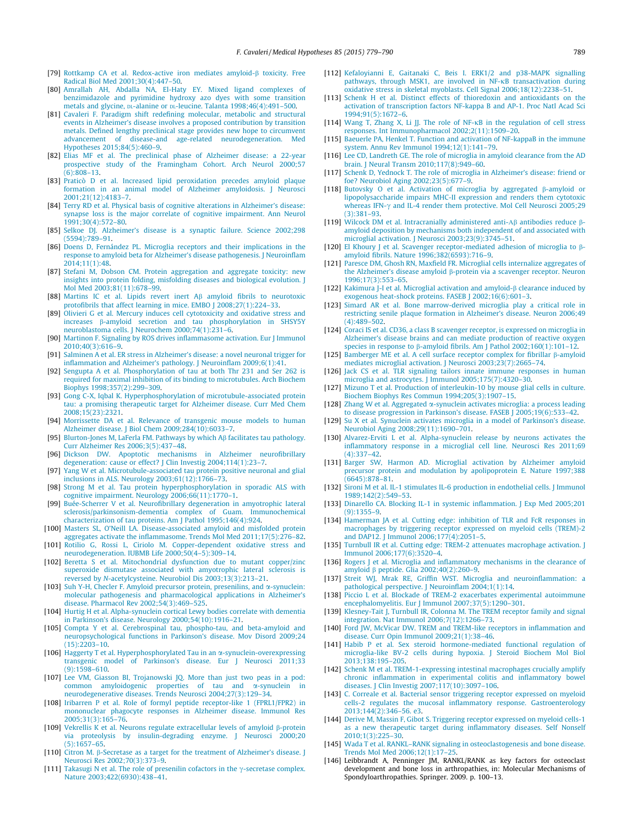- <span id="page-10-0"></span>[79] [Rottkamp CA et al. Redox-active iron mediates amyloid-](http://refhub.elsevier.com/S0306-9877(15)00380-1/h0395)b toxicity. Free [Radical Biol Med 2001;30\(4\):447–50](http://refhub.elsevier.com/S0306-9877(15)00380-1/h0395).
- [80] [Amrallah AH, Abdalla NA, El-Haty EY. Mixed ligand complexes of](http://refhub.elsevier.com/S0306-9877(15)00380-1/h0400) [benzimidazole and pyrimidine hydroxy azo dyes with some transition](http://refhub.elsevier.com/S0306-9877(15)00380-1/h0400) [metals and glycine,](http://refhub.elsevier.com/S0306-9877(15)00380-1/h0400) [DL-alanine or](http://refhub.elsevier.com/S0306-9877(15)00380-1/h0400) DL-leucine. Talanta 1998;46(4):491-500.
- [81] [Cavaleri F. Paradigm shift redefining molecular, metabolic and structural](http://refhub.elsevier.com/S0306-9877(15)00380-1/h0405) [events in Alzheimer's disease involves a proposed contribution by transition](http://refhub.elsevier.com/S0306-9877(15)00380-1/h0405) [metals. Defined lengthy preclinical stage provides new hope to circumvent](http://refhub.elsevier.com/S0306-9877(15)00380-1/h0405) [advancement of disease-and age-related neurodegeneration. Med](http://refhub.elsevier.com/S0306-9877(15)00380-1/h0405) [Hypotheses 2015;84\(5\):460–9.](http://refhub.elsevier.com/S0306-9877(15)00380-1/h0405)
- [82] [Elias MF et al. The preclinical phase of Alzheimer disease: a 22-year](http://refhub.elsevier.com/S0306-9877(15)00380-1/h0410) [prospective study of the Framingham Cohort. Arch Neurol 2000;57](http://refhub.elsevier.com/S0306-9877(15)00380-1/h0410) [\(6\):808–13](http://refhub.elsevier.com/S0306-9877(15)00380-1/h0410).
- [83] [Praticò D et al. Increased lipid peroxidation precedes amyloid plaque](http://refhub.elsevier.com/S0306-9877(15)00380-1/h0415) [formation in an animal model of Alzheimer amyloidosis. J Neurosci](http://refhub.elsevier.com/S0306-9877(15)00380-1/h0415) [2001;21\(12\):4183–7](http://refhub.elsevier.com/S0306-9877(15)00380-1/h0415).
- [84] [Terry RD et al. Physical basis of cognitive alterations in Alzheimer's disease:](http://refhub.elsevier.com/S0306-9877(15)00380-1/h0420) [synapse loss is the major correlate of cognitive impairment. Ann Neurol](http://refhub.elsevier.com/S0306-9877(15)00380-1/h0420) [1991;30\(4\):572–80](http://refhub.elsevier.com/S0306-9877(15)00380-1/h0420).
- [85] [Selkoe DJ. Alzheimer's disease is a synaptic failure. Science 2002;298](http://refhub.elsevier.com/S0306-9877(15)00380-1/h0425) [\(5594\):789–91.](http://refhub.elsevier.com/S0306-9877(15)00380-1/h0425)
- [86] [Doens D, Fernández PL. Microglia receptors and their implications in the](http://refhub.elsevier.com/S0306-9877(15)00380-1/h0430) [response to amyloid beta for Alzheimer's disease pathogenesis. J Neuroinflam](http://refhub.elsevier.com/S0306-9877(15)00380-1/h0430) [2014;11\(1\):48](http://refhub.elsevier.com/S0306-9877(15)00380-1/h0430).
- [87] [Stefani M, Dobson CM. Protein aggregation and aggregate toxicity: new](http://refhub.elsevier.com/S0306-9877(15)00380-1/h0435) [insights into protein folding, misfolding diseases and biological evolution. J](http://refhub.elsevier.com/S0306-9877(15)00380-1/h0435) [Mol Med 2003;81\(11\):678–99.](http://refhub.elsevier.com/S0306-9877(15)00380-1/h0435)
- [88] [Martins IC et al. Lipids revert inert A](http://refhub.elsevier.com/S0306-9877(15)00380-1/h0440)b amyloid fibrils to neurotoxic protofibrils that affect learning in mice. EMBO J 2008;27(1):224-33.
- [89] [Olivieri G et al. Mercury induces cell cytotoxicity and oxidative stress and](http://refhub.elsevier.com/S0306-9877(15)00380-1/h0445) increases b[-amyloid secretion and tau phosphorylation in SHSY5Y](http://refhub.elsevier.com/S0306-9877(15)00380-1/h0445) [neuroblastoma cells. J Neurochem 2000;74\(1\):231–6](http://refhub.elsevier.com/S0306-9877(15)00380-1/h0445).
- [90] [Martinon F. Signaling by ROS drives inflammasome activation. Eur J Immunol](http://refhub.elsevier.com/S0306-9877(15)00380-1/h0450) [2010;40\(3\):616–9](http://refhub.elsevier.com/S0306-9877(15)00380-1/h0450).
- [91] [Salminen A et al. ER stress in Alzheimer's disease: a novel neuronal trigger for](http://refhub.elsevier.com/S0306-9877(15)00380-1/h0455) [inflammation and Alzheimer's pathology. J Neuroinflam 2009;6\(1\):41](http://refhub.elsevier.com/S0306-9877(15)00380-1/h0455).
- [92] [Sengupta A et al. Phosphorylation of tau at both Thr 231 and Ser 262 is](http://refhub.elsevier.com/S0306-9877(15)00380-1/h0460) [required for maximal inhibition of its binding to microtubules. Arch Biochem](http://refhub.elsevier.com/S0306-9877(15)00380-1/h0460) [Biophys 1998;357\(2\):299–309](http://refhub.elsevier.com/S0306-9877(15)00380-1/h0460).
- [93] [Gong C-X, Iqbal K. Hyperphosphorylation of microtubule-associated protein](http://refhub.elsevier.com/S0306-9877(15)00380-1/h0465) [tau: a promising therapeutic target for Alzheimer disease. Curr Med Chem](http://refhub.elsevier.com/S0306-9877(15)00380-1/h0465) [2008;15\(23\):2321](http://refhub.elsevier.com/S0306-9877(15)00380-1/h0465).
- [94] [Morrissette DA et al. Relevance of transgenic mouse models to human](http://refhub.elsevier.com/S0306-9877(15)00380-1/h0470) [Alzheimer disease. J Biol Chem 2009;284\(10\):6033–7.](http://refhub.elsevier.com/S0306-9877(15)00380-1/h0470)
- [95] [Blurton-Jones M, LaFerla FM. Pathways by which A](http://refhub.elsevier.com/S0306-9877(15)00380-1/h0475)b facilitates tau pathology. [Curr Alzheimer Res 2006;3\(5\):437–48](http://refhub.elsevier.com/S0306-9877(15)00380-1/h0475).
- [96] [Dickson DW. Apoptotic mechanisms in Alzheimer neurofibrillary](http://refhub.elsevier.com/S0306-9877(15)00380-1/h0480) [degeneration: cause or effect? J Clin Investig 2004;114\(1\):23–7.](http://refhub.elsevier.com/S0306-9877(15)00380-1/h0480)
- [97] [Yang W et al. Microtubule-associated tau protein positive neuronal and glial](http://refhub.elsevier.com/S0306-9877(15)00380-1/h0485) [inclusions in ALS. Neurology 2003;61\(12\):1766–73.](http://refhub.elsevier.com/S0306-9877(15)00380-1/h0485)
- [98] [Strong M et al. Tau protein hyperphosphorylation in sporadic ALS with](http://refhub.elsevier.com/S0306-9877(15)00380-1/h0490) [cognitive impairment. Neurology 2006;66\(11\):1770–1.](http://refhub.elsevier.com/S0306-9877(15)00380-1/h0490)
- [99] [Buée-Scherrer V et al. Neurofibrillary degeneration in amyotrophic lateral](http://refhub.elsevier.com/S0306-9877(15)00380-1/h0495) [sclerosis/parkinsonism-dementia complex of Guam. Immunochemical](http://refhub.elsevier.com/S0306-9877(15)00380-1/h0495) [characterization of tau proteins. Am J Pathol 1995;146\(4\):924](http://refhub.elsevier.com/S0306-9877(15)00380-1/h0495).
- [100] [Masters SL, O'Neill LA. Disease-associated amyloid and misfolded protein](http://refhub.elsevier.com/S0306-9877(15)00380-1/h0500) [aggregates activate the inflammasome. Trends Mol Med 2011;17\(5\):276–82](http://refhub.elsevier.com/S0306-9877(15)00380-1/h0500).
- [101] [Rotilio G, Rossi L, Ciriolo M. Copper-dependent oxidative stress and](http://refhub.elsevier.com/S0306-9877(15)00380-1/h0505) [neurodegeneration. IUBMB Life 2000;50\(4–5\):309–14](http://refhub.elsevier.com/S0306-9877(15)00380-1/h0505).
- [102] [Beretta S et al. Mitochondrial dysfunction due to mutant copper/zinc](http://refhub.elsevier.com/S0306-9877(15)00380-1/h0510) [superoxide dismutase associated with amyotrophic lateral sclerosis is](http://refhub.elsevier.com/S0306-9877(15)00380-1/h0510) reversed by N[-acetylcysteine. Neurobiol Dis 2003;13\(3\):213–21](http://refhub.elsevier.com/S0306-9877(15)00380-1/h0510).
- [103] [Suh Y-H, Checler F. Amyloid precursor protein, presenilins, and](http://refhub.elsevier.com/S0306-9877(15)00380-1/h0515)  $\alpha$ -synuclein: [molecular pathogenesis and pharmacological applications in Alzheimer's](http://refhub.elsevier.com/S0306-9877(15)00380-1/h0515) [disease. Pharmacol Rev 2002;54\(3\):469–525.](http://refhub.elsevier.com/S0306-9877(15)00380-1/h0515)
- [104] [Hurtig H et al. Alpha-synuclein cortical Lewy bodies correlate with dementia](http://refhub.elsevier.com/S0306-9877(15)00380-1/h0520) [in Parkinson's disease. Neurology 2000;54\(10\):1916–21.](http://refhub.elsevier.com/S0306-9877(15)00380-1/h0520)
- [105] [Compta Y et al. Cerebrospinal tau, phospho-tau, and beta-amyloid and](http://refhub.elsevier.com/S0306-9877(15)00380-1/h0525) [neuropsychological functions in Parkinson's disease. Mov Disord 2009;24](http://refhub.elsevier.com/S0306-9877(15)00380-1/h0525) [\(15\):2203–10](http://refhub.elsevier.com/S0306-9877(15)00380-1/h0525).
- [106] [Haggerty T et al. Hyperphosphorylated Tau in an](http://refhub.elsevier.com/S0306-9877(15)00380-1/h0530) a-synuclein-overexpressing [transgenic model of Parkinson's disease. Eur J Neurosci 2011;33](http://refhub.elsevier.com/S0306-9877(15)00380-1/h0530) [\(9\):1598–610](http://refhub.elsevier.com/S0306-9877(15)00380-1/h0530).
- [107] [Lee VM, Giasson BI, Trojanowski JQ. More than just two peas in a pod:](http://refhub.elsevier.com/S0306-9877(15)00380-1/h0535) [common amyloidogenic properties of tau and](http://refhub.elsevier.com/S0306-9877(15)00380-1/h0535) a-synuclein in [neurodegenerative diseases. Trends Neurosci 2004;27\(3\):129–34.](http://refhub.elsevier.com/S0306-9877(15)00380-1/h0535)
- [108] [Iribarren P et al. Role of formyl peptide receptor-like 1 \(FPRL1/FPR2\) in](http://refhub.elsevier.com/S0306-9877(15)00380-1/h0540) [mononuclear phagocyte responses in Alzheimer disease. Immunol Res](http://refhub.elsevier.com/S0306-9877(15)00380-1/h0540) [2005;31\(3\):165–76.](http://refhub.elsevier.com/S0306-9877(15)00380-1/h0540)
- [109] [Vekrellis K et al. Neurons regulate extracellular levels of amyloid](http://refhub.elsevier.com/S0306-9877(15)00380-1/h0545)  $\beta$ -protein [via proteolysis by insulin-degrading enzyme. J Neurosci 2000;20](http://refhub.elsevier.com/S0306-9877(15)00380-1/h0545) [\(5\):1657–65.](http://refhub.elsevier.com/S0306-9877(15)00380-1/h0545)
- [110] Citron M. b[-Secretase as a target for the treatment of Alzheimer's disease. J](http://refhub.elsevier.com/S0306-9877(15)00380-1/h0550) [Neurosci Res 2002;70\(3\):373–9](http://refhub.elsevier.com/S0306-9877(15)00380-1/h0550).
- [111] [Takasugi N et al. The role of presenilin cofactors in the](http://refhub.elsevier.com/S0306-9877(15)00380-1/h0555)  $\gamma$ -secretase complex. [Nature 2003;422\(6930\):438–41.](http://refhub.elsevier.com/S0306-9877(15)00380-1/h0555)
- [112] [Kefaloyianni E, Gaitanaki C, Beis I. ERK1/2 and p38-MAPK signalling](http://refhub.elsevier.com/S0306-9877(15)00380-1/h0560) [pathways, through MSK1, are involved in NF-](http://refhub.elsevier.com/S0306-9877(15)00380-1/h0560)KB transactivation during [oxidative stress in skeletal myoblasts. Cell Signal 2006;18\(12\):2238–51.](http://refhub.elsevier.com/S0306-9877(15)00380-1/h0560)
- [113] [Schenk H et al. Distinct effects of thioredoxin and antioxidants on the](http://refhub.elsevier.com/S0306-9877(15)00380-1/h0565) [activation of transcription factors NF-kappa B and AP-1. Proc Natl Acad Sci](http://refhub.elsevier.com/S0306-9877(15)00380-1/h0565) [1994;91\(5\):1672–6](http://refhub.elsevier.com/S0306-9877(15)00380-1/h0565).
- [114] [Wang T, Zhang X, Li JJ. The role of NF-](http://refhub.elsevier.com/S0306-9877(15)00380-1/h0570)KB in the regulation of cell stress [responses. Int Immunopharmacol 2002;2\(11\):1509–20.](http://refhub.elsevier.com/S0306-9877(15)00380-1/h0570)
- [115] [Baeuerle PA, Henkel T. Function and activation of NF-kappaB in the immune](http://refhub.elsevier.com/S0306-9877(15)00380-1/h0575) [system. Annu Rev Immunol 1994;12\(1\):141–79](http://refhub.elsevier.com/S0306-9877(15)00380-1/h0575).
- [116] [Lee CD, Landreth GE. The role of microglia in amyloid clearance from the AD](http://refhub.elsevier.com/S0306-9877(15)00380-1/h0580) [brain. J Neural Transm 2010;117\(8\):949–60.](http://refhub.elsevier.com/S0306-9877(15)00380-1/h0580)
- [117] [Schenk D, Yednock T. The role of microglia in Alzheimer's disease: friend or](http://refhub.elsevier.com/S0306-9877(15)00380-1/h0585) [foe? Neurobiol Aging 2002;23\(5\):677–9.](http://refhub.elsevier.com/S0306-9877(15)00380-1/h0585)
- [118] [Butovsky O et al. Activation of microglia by aggregated](http://refhub.elsevier.com/S0306-9877(15)00380-1/h0590)  $\beta$ -amyloid or [lipopolysaccharide impairs MHC-II expression and renders them cytotoxic](http://refhub.elsevier.com/S0306-9877(15)00380-1/h0590) whereas IFN- $\gamma$  [and IL-4 render them protective. Mol Cell Neurosci 2005;29](http://refhub.elsevier.com/S0306-9877(15)00380-1/h0590) [\(3\):381–93.](http://refhub.elsevier.com/S0306-9877(15)00380-1/h0590)
- [119] [Wilcock DM et al. Intracranially administered anti-](http://refhub.elsevier.com/S0306-9877(15)00380-1/h0595)Αb antibodies reduce b[amyloid deposition by mechanisms both independent of and associated with](http://refhub.elsevier.com/S0306-9877(15)00380-1/h0595) [microglial activation. J Neurosci 2003;23\(9\):3745–51.](http://refhub.elsevier.com/S0306-9877(15)00380-1/h0595)
- [120] [El Khoury J et al. Scavenger receptor-mediated adhesion of microglia to](http://refhub.elsevier.com/S0306-9877(15)00380-1/h0600)  $\beta$ [amyloid fibrils. Nature 1996;382\(6593\):716–9](http://refhub.elsevier.com/S0306-9877(15)00380-1/h0600).
- [121] [Paresce DM, Ghosh RN, Maxfield FR. Microglial cells internalize aggregates of](http://refhub.elsevier.com/S0306-9877(15)00380-1/h0605) the Alzheimer's disease amyloid  $\beta$ [-protein via a scavenger receptor. Neuron](http://refhub.elsevier.com/S0306-9877(15)00380-1/h0605) [1996;17\(3\):553–65](http://refhub.elsevier.com/S0306-9877(15)00380-1/h0605).
- [122] [Kakimura J-I et al. Microglial activation and amyloid-](http://refhub.elsevier.com/S0306-9877(15)00380-1/h0610) $\beta$  clearance induced by [exogenous heat-shock proteins. FASEB J 2002;16\(6\):601–3](http://refhub.elsevier.com/S0306-9877(15)00380-1/h0610).
- [123] [Simard AR et al. Bone marrow-derived microglia play a critical role in](http://refhub.elsevier.com/S0306-9877(15)00380-1/h0615) [restricting senile plaque formation in Alzheimer's disease. Neuron 2006;49](http://refhub.elsevier.com/S0306-9877(15)00380-1/h0615) [\(4\):489–502.](http://refhub.elsevier.com/S0306-9877(15)00380-1/h0615)
- [124] [Coraci IS et al. CD36, a class B scavenger receptor, is expressed on microglia in](http://refhub.elsevier.com/S0306-9877(15)00380-1/h0620) [Alzheimer's disease brains and can mediate production of reactive oxygen](http://refhub.elsevier.com/S0306-9877(15)00380-1/h0620) species in response to  $\beta$ -amyloid fibrils. Am J Pathol 2002;160(1):101-12.
- [125] [Bamberger ME et al. A cell surface receptor complex for fibrillar](http://refhub.elsevier.com/S0306-9877(15)00380-1/h0625)  $\beta$ -amyloid [mediates microglial activation. J Neurosci 2003;23\(7\):2665–74](http://refhub.elsevier.com/S0306-9877(15)00380-1/h0625).
- [126] [Jack CS et al. TLR signaling tailors innate immune responses in human](http://refhub.elsevier.com/S0306-9877(15)00380-1/h0630) [microglia and astrocytes. J Immunol 2005;175\(7\):4320–30.](http://refhub.elsevier.com/S0306-9877(15)00380-1/h0630)
- [127] [Mizuno T et al. Production of interleukin-10 by mouse glial cells in culture.](http://refhub.elsevier.com/S0306-9877(15)00380-1/h0635) [Biochem Biophys Res Commun 1994;205\(3\):1907–15](http://refhub.elsevier.com/S0306-9877(15)00380-1/h0635).
- [128] Zhang W et al. Aggregated a[-synuclein activates microglia: a process leading](http://refhub.elsevier.com/S0306-9877(15)00380-1/h0640) [to disease progression in Parkinson's disease. FASEB J 2005;19\(6\):533–42.](http://refhub.elsevier.com/S0306-9877(15)00380-1/h0640)
- [129] [Su X et al. Synuclein activates microglia in a model of Parkinson's disease.](http://refhub.elsevier.com/S0306-9877(15)00380-1/h0645) [Neurobiol Aging 2008;29\(11\):1690–701.](http://refhub.elsevier.com/S0306-9877(15)00380-1/h0645)
- [130] [Alvarez-Erviti L et al. Alpha-synuclein release by neurons activates the](http://refhub.elsevier.com/S0306-9877(15)00380-1/h0650) [inflammatory response in a microglial cell line. Neurosci Res 2011;69](http://refhub.elsevier.com/S0306-9877(15)00380-1/h0650)  $(4)$  $337-42$
- [131] [Barger SW, Harmon AD. Microglial activation by Alzheimer amyloid](http://refhub.elsevier.com/S0306-9877(15)00380-1/h0655) [precursor protein and modulation by apolipoprotein E. Nature 1997;388](http://refhub.elsevier.com/S0306-9877(15)00380-1/h0655) [\(6645\):878–81](http://refhub.elsevier.com/S0306-9877(15)00380-1/h0655).
- [132] [Sironi M et al. IL-1 stimulates IL-6 production in endothelial cells. J Immunol](http://refhub.elsevier.com/S0306-9877(15)00380-1/h0660) [1989;142\(2\):549–53.](http://refhub.elsevier.com/S0306-9877(15)00380-1/h0660)
- [133] [Dinarello CA. Blocking IL-1 in systemic inflammation. J Exp Med 2005;201](http://refhub.elsevier.com/S0306-9877(15)00380-1/h0665) [\(9\):1355–9.](http://refhub.elsevier.com/S0306-9877(15)00380-1/h0665)
- [134] [Hamerman JA et al. Cutting edge: inhibition of TLR and FcR responses in](http://refhub.elsevier.com/S0306-9877(15)00380-1/h0670) [macrophages by triggering receptor expressed on myeloid cells \(TREM\)-2](http://refhub.elsevier.com/S0306-9877(15)00380-1/h0670) [and DAP12. J Immunol 2006;177\(4\):2051–5](http://refhub.elsevier.com/S0306-9877(15)00380-1/h0670).
- [135] [Turnbull IR et al. Cutting edge: TREM-2 attenuates macrophage activation. J](http://refhub.elsevier.com/S0306-9877(15)00380-1/h0675) [Immunol 2006;177\(6\):3520–4](http://refhub.elsevier.com/S0306-9877(15)00380-1/h0675).
- [136] [Rogers J et al. Microglia and inflammatory mechanisms in the clearance of](http://refhub.elsevier.com/S0306-9877(15)00380-1/h0680) amyloid  $\beta$  peptide. Glia 2002;40(2):260-9.
- [137] [Streit WJ, Mrak RE, Griffin WST. Microglia and neuroinflammation: a](http://refhub.elsevier.com/S0306-9877(15)00380-1/h0685) [pathological perspective. J Neuroinflam 2004;1\(1\):14.](http://refhub.elsevier.com/S0306-9877(15)00380-1/h0685)
- [138] [Piccio L et al. Blockade of TREM-2 exacerbates experimental autoimmune](http://refhub.elsevier.com/S0306-9877(15)00380-1/h0690) [encephalomyelitis. Eur J Immunol 2007;37\(5\):1290–301.](http://refhub.elsevier.com/S0306-9877(15)00380-1/h0690)
- [139] [Klesney-Tait J, Turnbull IR, Colonna M. The TREM receptor family and signal](http://refhub.elsevier.com/S0306-9877(15)00380-1/h0695) [integration. Nat Immunol 2006;7\(12\):1266–73.](http://refhub.elsevier.com/S0306-9877(15)00380-1/h0695)
- [140] [Ford JW, McVicar DW. TREM and TREM-like receptors in inflammation and](http://refhub.elsevier.com/S0306-9877(15)00380-1/h0700) [disease. Curr Opin Immunol 2009;21\(1\):38–46](http://refhub.elsevier.com/S0306-9877(15)00380-1/h0700).
- [141] [Habib P et al. Sex steroid hormone-mediated functional regulation of](http://refhub.elsevier.com/S0306-9877(15)00380-1/h0705) [microglia-like BV-2 cells during hypoxia. J Steroid Biochem Mol Biol](http://refhub.elsevier.com/S0306-9877(15)00380-1/h0705) [2013;138:195–205.](http://refhub.elsevier.com/S0306-9877(15)00380-1/h0705)
- [142] [Schenk M et al. TREM-1-expressing intestinal macrophages crucially amplify](http://refhub.elsevier.com/S0306-9877(15)00380-1/h0710) [chronic inflammation in experimental colitis and inflammatory bowel](http://refhub.elsevier.com/S0306-9877(15)00380-1/h0710) [diseases. J Clin Investig 2007;117\(10\):3097–106.](http://refhub.elsevier.com/S0306-9877(15)00380-1/h0710)
- [143] [C. Correale et al. Bacterial sensor triggering receptor expressed on myeloid](http://refhub.elsevier.com/S0306-9877(15)00380-1/h0715) [cells-2 regulates the mucosal inflammatory response. Gastroenterology](http://refhub.elsevier.com/S0306-9877(15)00380-1/h0715) [2013;144\(2\):346–56. e3.](http://refhub.elsevier.com/S0306-9877(15)00380-1/h0715)
- [144] [Derive M, Massin F, Gibot S. Triggering receptor expressed on myeloid cells-1](http://refhub.elsevier.com/S0306-9877(15)00380-1/h0720) [as a new therapeutic target during inflammatory diseases. Self Nonself](http://refhub.elsevier.com/S0306-9877(15)00380-1/h0720) [2010;1\(3\):225–30](http://refhub.elsevier.com/S0306-9877(15)00380-1/h0720).
- [145] Wada T et al. RANKL-RANK signaling in osteoclastogenesis and bone disease. [Trends Mol Med 2006;12\(1\):17–25](http://refhub.elsevier.com/S0306-9877(15)00380-1/h0725).
- [146] Leibbrandt A, Penninger JM, RANKL/RANK as key factors for osteoclast development and bone loss in arthropathies, in: Molecular Mechanisms of Spondyloarthropathies. Springer. 2009. p. 100–13.